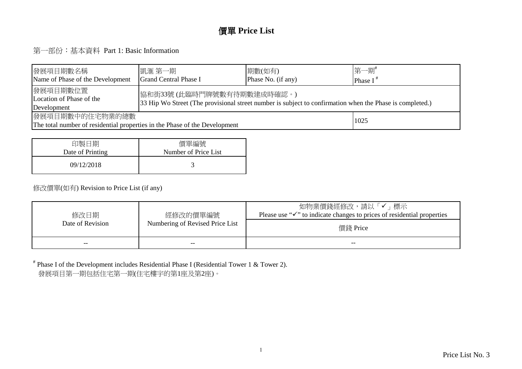#### 價單 **Price List**

第一部份:基本資料 Part 1: Basic Information

| 發展項目期數名稱 <br>Name of Phase of the Development                                                                                                                                                  | 凱滙 第一期 <br><b>Grand Central Phase I</b> | 期數(如有)<br>Phase No. (if any) | 第一期#<br>Phase $I^*$ |  |  |  |  |  |  |
|------------------------------------------------------------------------------------------------------------------------------------------------------------------------------------------------|-----------------------------------------|------------------------------|---------------------|--|--|--|--|--|--|
| 發展項目期數位置 <br> 協和街33號(此臨時門牌號數有待期數建成時確認。)<br>Location of Phase of the<br>33 Hip Wo Street (The provisional street number is subject to confirmation when the Phase is completed.)<br>Development |                                         |                              |                     |  |  |  |  |  |  |
| 發展項目期數中的住宅物業的總數<br>1025<br>The total number of residential properties in the Phase of the Development                                                                                          |                                         |                              |                     |  |  |  |  |  |  |

| 印製日期             | 價單編號                 |
|------------------|----------------------|
| Date of Printing | Number of Price List |
| 09/12/2018       |                      |

#### 修改價單(如有) Revision to Price List (if any)

| 修改日期<br>Date of Revision | 經修改的價單編號<br>Numbering of Revised Price List | 如物業價錢經修改,請以「✔」標示<br>Please use " $\checkmark$ " to indicate changes to prices of residential properties<br>價錢 Price |
|--------------------------|---------------------------------------------|---------------------------------------------------------------------------------------------------------------------|
| $- -$                    | --                                          | --                                                                                                                  |

# Phase I of the Development includes Residential Phase I (Residential Tower 1 & Tower 2).發展項目第一期包括住宅第一期(住宅樓宇的第1座及第2座)。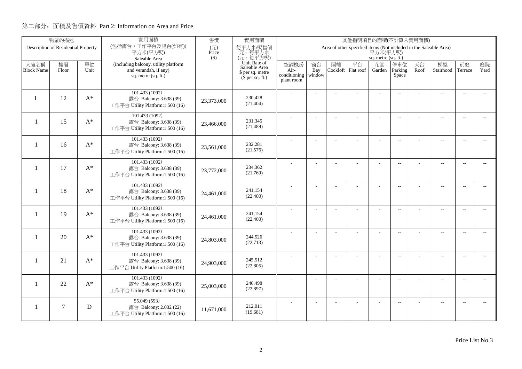|                          | 物業的描述                               |       | 實用面積<br>售價<br>實用面積<br>其他指明項目的面積(不計算入實用面積)                  |              |                               |                      |                |          |                                                                   |                     |                          |      |                          |                          |                          |
|--------------------------|-------------------------------------|-------|------------------------------------------------------------|--------------|-------------------------------|----------------------|----------------|----------|-------------------------------------------------------------------|---------------------|--------------------------|------|--------------------------|--------------------------|--------------------------|
|                          | Description of Residential Property |       | (包括露台,工作平台及陽台(如有))<br>平方米(平方呎)                             | (元)<br>Price | 每平方米/呎售價<br>元,每平方米            |                      |                |          | Area of other specified items (Not included in the Saleable Area) | 平方米(平方呎)            |                          |      |                          |                          |                          |
|                          |                                     |       | Saleable Area                                              | $($ \$)      | (元,每平方呎)                      |                      |                |          |                                                                   | sq. metre (sq. ft.) |                          |      |                          |                          |                          |
| 大廈名稱                     | 樓層                                  | 單位    | (including balcony, utility platform                       |              | Unit Rate of<br>Saleable Area | 空調機房                 | 窗台             | 閣樓       | 平台                                                                | 花園                  | 停車位                      | 天台   | 梯屋                       | 前庭                       | 庭院                       |
| <b>Block Name</b>        | Floor                               | Unit  | and verandah, if any)<br>sq. metre (sq. ft.)               |              | \$ per sq. metre              | Air-<br>conditioning | Bay<br>window  | Cockloft | Flat roof                                                         | Garden              | Parking<br>Space         | Roof | Stairhood                | Terrace                  | Yard                     |
|                          |                                     |       |                                                            |              | $$$ per sq. ft.)              | plant room           |                |          |                                                                   |                     |                          |      |                          |                          |                          |
|                          |                                     |       | 101.433 (1092)                                             |              |                               |                      |                |          |                                                                   |                     | $\overline{a}$           |      | $\overline{\phantom{a}}$ | $\overline{\phantom{a}}$ |                          |
| $\mathbf{1}$             | 12                                  | $A^*$ | 露台 Balcony: 3.638 (39)                                     | 23,373,000   | 230,428<br>(21, 404)          |                      |                |          |                                                                   |                     |                          |      |                          |                          |                          |
|                          |                                     |       | 工作平台 Utility Platform:1.500 (16)                           |              |                               |                      |                |          |                                                                   |                     |                          |      |                          |                          |                          |
| $\mathbf{1}$             | 15                                  | $A^*$ | 101.433 (1092)                                             |              | 231,345                       |                      |                |          | ÷.                                                                | ÷                   | $\overline{a}$           |      | $\overline{a}$           | $\sim$                   |                          |
|                          |                                     |       | 露台 Balcony: 3.638 (39)<br>工作平台 Utility Platform:1.500 (16) | 23,466,000   | (21, 489)                     |                      |                |          |                                                                   |                     |                          |      |                          |                          |                          |
|                          |                                     |       |                                                            |              |                               |                      |                |          |                                                                   |                     |                          |      |                          |                          |                          |
| $\overline{\phantom{a}}$ | 16                                  | $A^*$ | 101.433 (1092)<br>露台 Balcony: 3.638 (39)                   |              | 232,281                       |                      | L.             |          |                                                                   | L,                  | $\overline{a}$           |      | $\overline{\phantom{a}}$ | $\sim$                   | $\overline{a}$           |
|                          |                                     |       | 工作平台 Utility Platform:1.500 (16)                           | 23,561,000   | (21,576)                      |                      |                |          |                                                                   |                     |                          |      |                          |                          |                          |
|                          |                                     |       | 101.433 (1092)                                             |              |                               |                      |                |          |                                                                   | $\overline{a}$      | $\overline{a}$           |      | $\overline{\phantom{a}}$ | $\overline{\phantom{a}}$ | $- -$                    |
| $\mathbf{1}$             | 17                                  | $A^*$ | 露台 Balcony: 3.638 (39)                                     | 23,772,000   | 234,362<br>(21,769)           |                      |                |          |                                                                   |                     |                          |      |                          |                          |                          |
|                          |                                     |       | 工作平台 Utility Platform:1.500 (16)                           |              |                               |                      |                |          |                                                                   |                     |                          |      |                          |                          |                          |
| $\mathbf{1}$             | 18                                  | $A^*$ | 101.433 (1092)                                             |              | 241.154                       |                      |                |          |                                                                   | $\overline{a}$      | $\sim$                   |      | $\overline{\phantom{a}}$ | $\sim$                   | $\sim$                   |
|                          |                                     |       | 露台 Balcony: 3.638 (39)<br>工作平台 Utility Platform:1.500 (16) | 24,461,000   | (22, 400)                     |                      |                |          |                                                                   |                     |                          |      |                          |                          |                          |
|                          |                                     |       | 101.433 (1092)                                             |              |                               |                      |                |          |                                                                   |                     |                          |      |                          |                          |                          |
| $\mathbf{1}$             | 19                                  | $A^*$ | 露台 Balcony: 3.638 (39)                                     | 24,461,000   | 241,154                       |                      | $\overline{a}$ |          |                                                                   | ÷,                  | $\overline{\phantom{m}}$ |      | $\overline{\phantom{m}}$ | $\overline{\phantom{a}}$ | $- -$                    |
|                          |                                     |       | 工作平台 Utility Platform:1.500 (16)                           |              | (22, 400)                     |                      |                |          |                                                                   |                     |                          |      |                          |                          |                          |
|                          |                                     |       | 101.433 (1092)                                             |              |                               |                      | ÷              |          |                                                                   | $\overline{a}$      | $\overline{a}$           |      | $\overline{a}$           | $\overline{\phantom{a}}$ | $- -$                    |
| $\mathbf{1}$             | 20                                  | $A^*$ | 露台 Balcony: 3.638 (39)                                     | 24,803,000   | 244,526<br>(22, 713)          |                      |                |          |                                                                   |                     |                          |      |                          |                          |                          |
|                          |                                     |       | 工作平台 Utility Platform:1.500 (16)                           |              |                               |                      |                |          |                                                                   |                     |                          |      |                          |                          |                          |
| -1                       | 21                                  | $A^*$ | 101.433 (1092)<br>露台 Balcony: 3.638 (39)                   |              | 245.512                       |                      | L.             |          | L,                                                                | L,                  | $\overline{\phantom{a}}$ |      | $\overline{\phantom{a}}$ | $\sim$                   | $\overline{a}$           |
|                          |                                     |       | 工作平台 Utility Platform:1.500 (16)                           | 24,903,000   | (22, 805)                     |                      |                |          |                                                                   |                     |                          |      |                          |                          |                          |
|                          |                                     |       | 101.433 (1092)                                             |              |                               |                      |                |          |                                                                   |                     |                          |      |                          |                          |                          |
| 1                        | 22                                  | $A^*$ | 露台 Balcony: 3.638 (39)                                     | 25,003,000   | 246,498                       |                      | $\overline{a}$ |          | L,                                                                | ÷,                  | $\overline{\phantom{m}}$ |      | $\overline{\phantom{a}}$ | $\sim$                   | $- -$                    |
|                          |                                     |       | 工作平台 Utility Platform:1.500 (16)                           |              | (22, 897)                     |                      |                |          |                                                                   |                     |                          |      |                          |                          |                          |
|                          |                                     |       | 55.049 (593)                                               |              |                               |                      |                |          |                                                                   |                     | $\overline{\phantom{a}}$ |      | $\overline{\phantom{m}}$ | $\overline{a}$           | $\overline{\phantom{a}}$ |
| 1                        | $\tau$                              | D     | 露台 Balcony: 2.032 (22)<br>工作平台 Utility Platform:1.500 (16) | 11.671.000   | 212,011<br>(19,681)           |                      |                |          |                                                                   |                     |                          |      |                          |                          |                          |
|                          |                                     |       |                                                            |              |                               |                      |                |          |                                                                   |                     |                          |      |                          |                          |                          |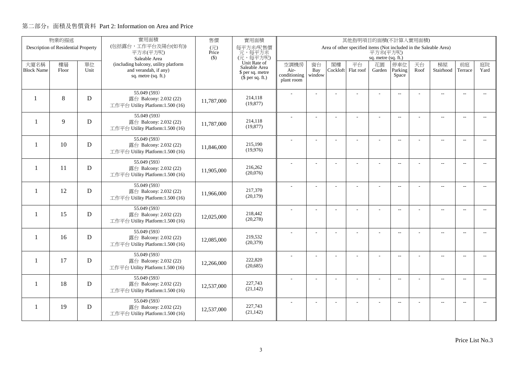|                           | 物業的描述                               |             | 實用面積                                                                                 | 售價           | 實用面積<br>其他指明項目的面積(不計算入實用面積)                                           |                              |                     |                |                                                                   |                     |                          |            |                          |                          |                          |
|---------------------------|-------------------------------------|-------------|--------------------------------------------------------------------------------------|--------------|-----------------------------------------------------------------------|------------------------------|---------------------|----------------|-------------------------------------------------------------------|---------------------|--------------------------|------------|--------------------------|--------------------------|--------------------------|
|                           | Description of Residential Property |             | (包括露台,工作平台及陽台(如有))<br>平方米(平方呎)                                                       | (元)<br>Price | 每平方米/呎售價<br>元,每平方米                                                    |                              |                     |                | Area of other specified items (Not included in the Saleable Area) | 平方米(平方呎)            |                          |            |                          |                          |                          |
|                           |                                     |             | Saleable Area                                                                        | $($ \$)      | (元,每平方呎)                                                              |                              |                     |                |                                                                   | sq. metre (sq. ft.) |                          |            |                          |                          |                          |
| 大廈名稱<br><b>Block Name</b> | 樓層<br>Floor                         | 單位<br>Unit  | (including balcony, utility platform<br>and verandah, if any)<br>sq. metre (sq. ft.) |              | Unit Rate of<br>Saleable Area<br>\$ per sq. metre<br>$$$ per sq. ft.) | 空調機房<br>Air-<br>conditioning | 窗台<br>Bay<br>window | 閣樓<br>Cockloft | 平台<br>Flat roof                                                   | 花園<br>Garden        | 停車位<br>Parking<br>Space  | 天台<br>Roof | 梯屋<br>Stairhood          | 前庭<br>Terrace            | 庭院<br>Yard               |
|                           |                                     |             |                                                                                      |              |                                                                       | plant room                   |                     |                |                                                                   |                     |                          |            |                          |                          |                          |
| $\mathbf{1}$              | 8                                   | D           | 55.049 (593)<br>露台 Balcony: 2.032 (22)<br>工作平台 Utility Platform:1.500 (16)           | 11,787,000   | 214,118<br>(19, 877)                                                  |                              |                     |                |                                                                   |                     | $\overline{a}$           |            | $\overline{\phantom{a}}$ | $\overline{\phantom{a}}$ |                          |
| $\mathbf{1}$              | 9                                   | D           | 55.049 (593)<br>露台 Balcony: 2.032 (22)<br>工作平台 Utility Platform:1.500 (16)           | 11,787,000   | 214,118<br>(19, 877)                                                  |                              |                     |                | ÷.                                                                | ÷.                  | $\overline{a}$           |            | $\overline{a}$           | $\sim$                   |                          |
| -1                        | 10                                  | D           | 55.049 (593)<br>露台 Balcony: 2.032 (22)<br>工作平台 Utility Platform:1.500 (16)           | 11,846,000   | 215,190<br>(19,976)                                                   |                              | L.                  |                |                                                                   | L,                  | $\overline{a}$           |            | $\overline{\phantom{a}}$ | $\sim$                   | $\overline{a}$           |
| $\mathbf{1}$              | 11                                  | D           | 55.049 (593)<br>露台 Balcony: 2.032 (22)<br>工作平台 Utility Platform:1.500 (16)           | 11,905,000   | 216,262<br>(20,076)                                                   |                              |                     |                |                                                                   | $\overline{a}$      | $\mathbf{L}$             |            | $\overline{\phantom{a}}$ | $\overline{\phantom{a}}$ | $- -$                    |
| $\mathbf{1}$              | 12                                  | D           | 55.049 (593)<br>露台 Balcony: 2.032 (22)<br>工作平台 Utility Platform:1.500 (16)           | 11,966,000   | 217,370<br>(20, 179)                                                  |                              |                     |                |                                                                   | $\overline{a}$      | $\sim$                   |            | $\overline{\phantom{a}}$ | $\sim$                   | $\sim$                   |
| $\mathbf{1}$              | 15                                  | D           | 55.049 (593)<br>露台 Balcony: 2.032 (22)<br>工作平台 Utility Platform:1.500 (16)           | 12,025,000   | 218,442<br>(20, 278)                                                  |                              | $\overline{a}$      |                |                                                                   | ÷,                  | $\overline{\phantom{m}}$ |            | $\overline{\phantom{m}}$ | $\overline{\phantom{a}}$ | $- -$                    |
| $\mathbf{1}$              | 16                                  | D           | 55.049 (593)<br>露台 Balcony: 2.032 (22)<br>工作平台 Utility Platform:1.500 (16)           | 12,085,000   | 219,532<br>(20, 379)                                                  |                              | ÷                   |                |                                                                   | $\overline{a}$      | $\overline{a}$           |            | $\overline{a}$           | $\overline{\phantom{a}}$ | $- -$                    |
| $\mathbf{1}$              | 17                                  | D           | 55.049 (593)<br>露台 Balcony: 2.032 (22)<br>工作平台 Utility Platform:1.500 (16)           | 12,266,000   | 222,820<br>(20,685)                                                   |                              | L.                  |                | L,                                                                | L,                  | $\overline{\phantom{a}}$ |            | $\overline{\phantom{a}}$ | $\sim$                   | $\overline{a}$           |
| 1                         | 18                                  | $\mathbf D$ | 55.049 (593)<br>露台 Balcony: 2.032 (22)<br>工作平台 Utility Platform:1.500 (16)           | 12,537,000   | 227,743<br>(21, 142)                                                  |                              | ÷                   |                | L,                                                                | ÷,                  | $\overline{\phantom{m}}$ |            | $\overline{\phantom{a}}$ | $\sim$                   | $\overline{\phantom{a}}$ |
| -1                        | 19                                  | D           | 55.049 (593)<br>露台 Balcony: 2.032 (22)<br>工作平台 Utility Platform:1.500 (16)           | 12,537,000   | 227,743<br>(21, 142)                                                  |                              |                     |                |                                                                   |                     | $\overline{\phantom{a}}$ |            | $\overline{\phantom{m}}$ | $\overline{a}$           | $\overline{a}$           |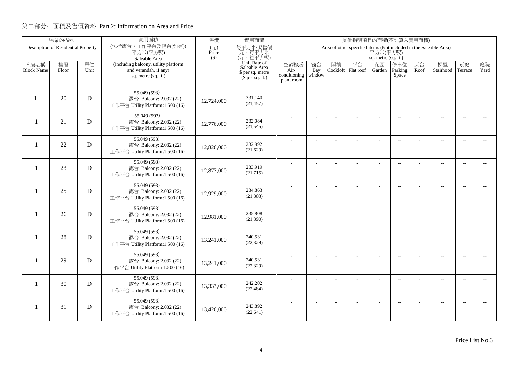|                          | 物業的描述                               |             | 實用面積                                                       | 售價           | 實用面積<br>其他指明項目的面積(不計算入實用面積)          |                      |                |          |                                                                   |                     |                          |      |                          |                          |                          |
|--------------------------|-------------------------------------|-------------|------------------------------------------------------------|--------------|--------------------------------------|----------------------|----------------|----------|-------------------------------------------------------------------|---------------------|--------------------------|------|--------------------------|--------------------------|--------------------------|
|                          | Description of Residential Property |             | (包括露台,工作平台及陽台(如有))<br>平方米(平方呎)                             | (元)<br>Price | 每平方米/呎售價<br>元,每平方米                   |                      |                |          | Area of other specified items (Not included in the Saleable Area) | 平方米(平方呎)            |                          |      |                          |                          |                          |
|                          |                                     |             | Saleable Area                                              | $($ \$)      | (元,每平方呎)                             |                      |                |          |                                                                   | sq. metre (sq. ft.) |                          |      |                          |                          |                          |
| 大廈名稱                     | 樓層                                  | 單位          | (including balcony, utility platform                       |              | Unit Rate of<br>Saleable Area        | 空調機房                 | 窗台             | 閣樓       | 平台                                                                | 花園                  | 停車位                      | 天台   | 梯屋                       | 前庭                       | 庭院<br>Yard               |
| <b>Block Name</b>        | Floor                               | Unit        | and verandah, if any)<br>sq. metre (sq. ft.)               |              | \$ per sq. metre<br>$$$ per sq. ft.) | Air-<br>conditioning | Bay<br>window  | Cockloft | Flat roof                                                         | Garden              | Parking<br>Space         | Roof | Stairhood                | Terrace                  |                          |
|                          |                                     |             |                                                            |              |                                      | plant room           |                |          |                                                                   |                     |                          |      |                          |                          |                          |
|                          |                                     |             | 55.049 (593)                                               |              |                                      |                      |                |          |                                                                   |                     | $\overline{a}$           |      | $\overline{\phantom{a}}$ | $\overline{\phantom{a}}$ |                          |
| $\mathbf{1}$             | 20                                  | D           | 露台 Balcony: 2.032 (22)                                     | 12,724,000   | 231.140<br>(21, 457)                 |                      |                |          |                                                                   |                     |                          |      |                          |                          |                          |
|                          |                                     |             | 工作平台 Utility Platform:1.500 (16)                           |              |                                      |                      |                |          |                                                                   |                     |                          |      |                          |                          |                          |
| $\mathbf{1}$             | 21                                  | D           | 55.049 (593)<br>露台 Balcony: 2.032 (22)                     |              | 232,084                              |                      |                |          | ÷.                                                                | ÷.                  | $\overline{a}$           |      | $\overline{a}$           | $\sim$                   |                          |
|                          |                                     |             | 工作平台 Utility Platform:1.500 (16)                           | 12,776,000   | (21, 545)                            |                      |                |          |                                                                   |                     |                          |      |                          |                          |                          |
|                          |                                     |             | 55.049 (593)                                               |              |                                      |                      | L.             |          |                                                                   | L,                  | $\overline{a}$           |      | $\overline{\phantom{a}}$ | $\sim$                   | $\overline{a}$           |
| $\overline{\phantom{0}}$ | 22                                  | D           | 露台 Balcony: 2.032 (22)                                     | 12,826,000   | 232,992                              |                      |                |          |                                                                   |                     |                          |      |                          |                          |                          |
|                          |                                     |             | 工作平台 Utility Platform:1.500 (16)                           |              | (21,629)                             |                      |                |          |                                                                   |                     |                          |      |                          |                          |                          |
|                          |                                     |             | 55.049 (593)                                               |              |                                      |                      |                |          |                                                                   | ÷.                  | $\overline{a}$           |      | $\overline{\phantom{a}}$ | $\overline{\phantom{a}}$ | $- -$                    |
| $\mathbf{1}$             | 23                                  | D           | 露台 Balcony: 2.032 (22)<br>工作平台 Utility Platform:1.500 (16) | 12,877,000   | 233,919<br>(21,715)                  |                      |                |          |                                                                   |                     |                          |      |                          |                          |                          |
|                          |                                     |             |                                                            |              |                                      |                      |                |          |                                                                   |                     |                          |      |                          |                          |                          |
| $\mathbf{1}$             | 25                                  | D           | 55.049 (593)<br>露台 Balcony: 2.032 (22)                     |              | 234,863                              |                      |                |          |                                                                   |                     | $\sim$                   |      | $\overline{\phantom{a}}$ | $\sim$                   | $\sim$                   |
|                          |                                     |             | 工作平台 Utility Platform:1.500 (16)                           | 12,929,000   | (21, 803)                            |                      |                |          |                                                                   |                     |                          |      |                          |                          |                          |
|                          |                                     |             | 55.049 (593)                                               |              |                                      |                      | $\overline{a}$ |          |                                                                   | ÷,                  | $\overline{\phantom{m}}$ |      | $\overline{\phantom{m}}$ | $\overline{\phantom{a}}$ | $- -$                    |
| $\mathbf{1}$             | 26                                  | D           | 露台 Balcony: 2.032 (22)                                     | 12,981,000   | 235,808                              |                      |                |          |                                                                   |                     |                          |      |                          |                          |                          |
|                          |                                     |             | 工作平台 Utility Platform:1.500 (16)                           |              | (21,890)                             |                      |                |          |                                                                   |                     |                          |      |                          |                          |                          |
|                          |                                     |             | 55.049 (593)                                               |              | 240,531                              |                      | ÷              |          |                                                                   | $\overline{a}$      | $\overline{a}$           |      | $\overline{a}$           | $\overline{\phantom{a}}$ | $- -$                    |
| $\mathbf{1}$             | 28                                  | D           | 露台 Balcony: 2.032 (22)<br>工作平台 Utility Platform:1.500 (16) | 13,241,000   | (22, 329)                            |                      |                |          |                                                                   |                     |                          |      |                          |                          |                          |
|                          |                                     |             | 55.049 (593)                                               |              |                                      |                      |                |          |                                                                   |                     |                          |      |                          |                          |                          |
| -1                       | 29                                  | D           | 露台 Balcony: 2.032 (22)                                     | 13,241,000   | 240.531                              |                      | L.             |          | L,                                                                | L,                  | $\overline{\phantom{a}}$ |      | $\overline{\phantom{a}}$ | $\sim$                   | $\overline{a}$           |
|                          |                                     |             | 工作平台 Utility Platform:1.500 (16)                           |              | (22, 329)                            |                      |                |          |                                                                   |                     |                          |      |                          |                          |                          |
|                          |                                     |             | 55.049 (593)                                               |              |                                      |                      | ÷              |          | L,                                                                | ÷,                  | $\overline{\phantom{m}}$ |      | $\overline{\phantom{a}}$ | $\sim$                   | $\overline{\phantom{a}}$ |
| 1                        | 30                                  | $\mathbf D$ | 露台 Balcony: 2.032 (22)                                     | 13,333,000   | 242,202<br>(22, 484)                 |                      |                |          |                                                                   |                     |                          |      |                          |                          |                          |
|                          |                                     |             | 工作平台 Utility Platform:1.500 (16)                           |              |                                      |                      |                |          |                                                                   |                     |                          |      |                          |                          |                          |
| 1                        | 31                                  | D           | 55.049 (593)<br>露台 Balcony: 2.032 (22)                     |              | 243,892                              |                      |                |          |                                                                   |                     | $\overline{\phantom{a}}$ |      | $\overline{\phantom{m}}$ | $\overline{a}$           | $\overline{a}$           |
|                          |                                     |             | 工作平台 Utility Platform:1.500 (16)                           | 13,426,000   | (22, 641)                            |                      |                |          |                                                                   |                     |                          |      |                          |                          |                          |
|                          |                                     |             |                                                            |              |                                      |                      |                |          |                                                                   |                     |                          |      |                          |                          |                          |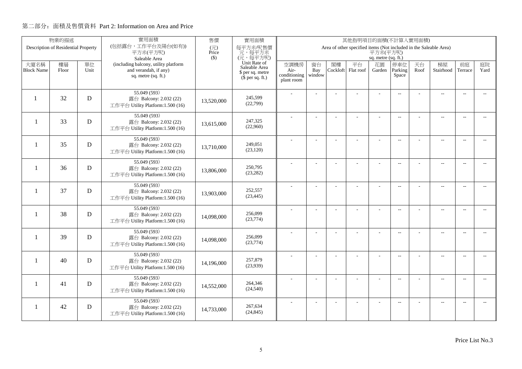|                           | 物業的描述                               |             | 實用面積                                                                                                  | 售價           | 實用面積<br>其他指明項目的面積(不計算入實用面積)                                                       |                                            |                     |                |                                                                   |                                     |                          |            |                          |                          |                          |
|---------------------------|-------------------------------------|-------------|-------------------------------------------------------------------------------------------------------|--------------|-----------------------------------------------------------------------------------|--------------------------------------------|---------------------|----------------|-------------------------------------------------------------------|-------------------------------------|--------------------------|------------|--------------------------|--------------------------|--------------------------|
|                           | Description of Residential Property |             | (包括露台,工作平台及陽台(如有))<br>平方米(平方呎)                                                                        | (元)<br>Price | 每平方米/呎售價<br>元,每平方米                                                                |                                            |                     |                | Area of other specified items (Not included in the Saleable Area) | 平方米(平方呎)                            |                          |            |                          |                          |                          |
| 大廈名稱<br><b>Block Name</b> | 樓層<br>Floor                         | 單位<br>Unit  | Saleable Area<br>(including balcony, utility platform<br>and verandah, if any)<br>sq. metre (sq. ft.) | $($ \$)      | (元,每平方呎)<br>Unit Rate of<br>Saleable Area<br>\$ per sq. metre<br>$$$ per sq. ft.) | 空調機房<br>Air-<br>conditioning<br>plant room | 窗台<br>Bay<br>window | 閣樓<br>Cockloft | 平台<br>Flat roof                                                   | sq. metre (sq. ft.)<br>花園<br>Garden | 停車位<br>Parking<br>Space  | 天台<br>Roof | 梯屋<br>Stairhood          | 前庭<br>Terrace            | 庭院<br>Yard               |
| $\mathbf{1}$              | 32                                  | D           | 55.049 (593)<br>露台 Balcony: 2.032 (22)<br>工作平台 Utility Platform:1.500 (16)                            | 13,520,000   | 245.599<br>(22,799)                                                               |                                            |                     |                |                                                                   |                                     | $\overline{a}$           |            | $\overline{a}$           | $\overline{\phantom{a}}$ |                          |
| $\mathbf{1}$              | 33                                  | D           | 55.049 (593)<br>露台 Balcony: 2.032 (22)<br>工作平台 Utility Platform:1.500 (16)                            | 13,615,000   | 247,325<br>(22,960)                                                               |                                            |                     |                | ÷.                                                                | ÷                                   | $\overline{a}$           |            | $\overline{a}$           | $\sim$                   |                          |
| $\overline{\phantom{0}}$  | 35                                  | D           | 55.049 (593)<br>露台 Balcony: 2.032 (22)<br>工作平台 Utility Platform:1.500 (16)                            | 13.710.000   | 249,051<br>(23, 120)                                                              |                                            | L.                  |                |                                                                   | L,                                  | $\overline{a}$           |            | $\overline{\phantom{a}}$ | $\sim$                   | $\overline{a}$           |
| -1                        | 36                                  | D           | 55.049 (593)<br>露台 Balcony: 2.032 (22)<br>工作平台 Utility Platform:1.500 (16)                            | 13,806,000   | 250,795<br>(23, 282)                                                              |                                            |                     |                |                                                                   | ÷.                                  | $\overline{a}$           |            | $\overline{\phantom{a}}$ | $\overline{\phantom{a}}$ | $- -$                    |
| $\mathbf{1}$              | 37                                  | D           | 55.049 (593)<br>露台 Balcony: 2.032 (22)<br>工作平台 Utility Platform:1.500 (16)                            | 13,903,000   | 252,557<br>(23, 445)                                                              |                                            |                     |                |                                                                   |                                     | $\sim$                   |            | $\overline{\phantom{a}}$ | $\sim$                   | $\sim$                   |
| $\mathbf{1}$              | 38                                  | D           | 55.049 (593)<br>露台 Balcony: 2.032 (22)<br>工作平台 Utility Platform:1.500 (16)                            | 14,098,000   | 256,099<br>(23, 774)                                                              |                                            | $\overline{a}$      |                |                                                                   | ÷,                                  | $\overline{\phantom{m}}$ |            | $\overline{\phantom{m}}$ | $\overline{\phantom{a}}$ | $- -$                    |
| $\mathbf{1}$              | 39                                  | D           | 55.049 (593)<br>露台 Balcony: 2.032 (22)<br>工作平台 Utility Platform:1.500 (16)                            | 14,098,000   | 256,099<br>(23, 774)                                                              |                                            | ÷                   |                |                                                                   | $\overline{a}$                      | $\overline{a}$           |            | $\overline{a}$           | $\overline{\phantom{a}}$ | $\overline{\phantom{0}}$ |
| -1                        | 40                                  | D           | 55.049 (593)<br>露台 Balcony: 2.032 (22)<br>工作平台 Utility Platform:1.500 (16)                            | 14,196,000   | 257,879<br>(23,939)                                                               |                                            | L.                  |                | L,                                                                | L,                                  | $\overline{\phantom{a}}$ |            | $\overline{\phantom{a}}$ | $\sim$                   | $\overline{a}$           |
| 1                         | 41                                  | $\mathbf D$ | 55.049 (593)<br>露台 Balcony: 2.032 (22)<br>工作平台 Utility Platform:1.500 (16)                            | 14,552,000   | 264,346<br>(24, 540)                                                              |                                            | ÷                   |                | L,                                                                | ÷,                                  | $\overline{\phantom{m}}$ |            | $\overline{\phantom{a}}$ | $\sim$                   | $- -$                    |
| 1                         | 42                                  | D           | 55.049 (593)<br>露台 Balcony: 2.032 (22)<br>工作平台 Utility Platform:1.500 (16)                            | 14,733,000   | 267,634<br>(24, 845)                                                              |                                            |                     |                |                                                                   |                                     | $\overline{\phantom{a}}$ |            | $\overline{\phantom{m}}$ | $\overline{a}$           | $\overline{a}$           |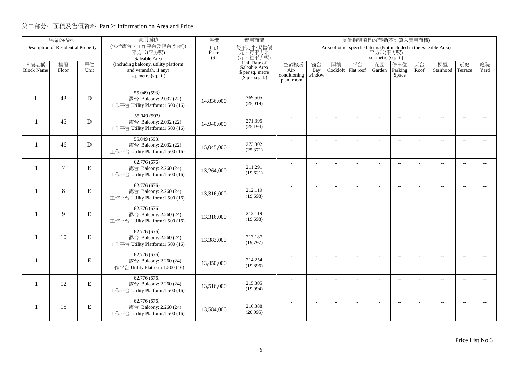|                          | 物業的描述                               |           | 實用面積                                                       | 售價                                | 實用面積<br>其他指明項目的面積(不計算入實用面積)   |                      |                |          |                                                                   |                     |                          |      |                          |                          |                          |
|--------------------------|-------------------------------------|-----------|------------------------------------------------------------|-----------------------------------|-------------------------------|----------------------|----------------|----------|-------------------------------------------------------------------|---------------------|--------------------------|------|--------------------------|--------------------------|--------------------------|
|                          | Description of Residential Property |           | (包括露台,工作平台及陽台(如有))<br>平方米(平方呎)                             | $(\overrightarrow{\pi})$<br>Price | 每平方米/呎售價<br>元,每平方米            |                      |                |          | Area of other specified items (Not included in the Saleable Area) | 平方米(平方呎)            |                          |      |                          |                          |                          |
|                          |                                     |           | Saleable Area                                              | $($ \$)                           | (元,每平方呎)                      |                      |                |          |                                                                   | sq. metre (sq. ft.) |                          |      |                          |                          |                          |
| 大廈名稱                     | 樓層                                  | 單位        | (including balcony, utility platform                       |                                   | Unit Rate of<br>Saleable Area | 空調機房                 | 窗台             | 閣樓       | 平台                                                                | 花園                  | 停車位                      | 天台   | 梯屋                       | 前庭                       | 庭院                       |
| <b>Block Name</b>        | Floor                               | Unit      | and verandah, if any)<br>sq. metre (sq. ft.)               |                                   | \$ per sq. metre              | Air-<br>conditioning | Bay<br>window  | Cockloft | Flat roof                                                         | Garden              | Parking<br>Space         | Roof | Stairhood                | Terrace                  | Yard                     |
|                          |                                     |           |                                                            |                                   | $(\bar{\S}$ per sq. ft.)      | plant room           |                |          |                                                                   |                     |                          |      |                          |                          |                          |
|                          |                                     |           | 55.049 (593)                                               |                                   |                               |                      |                |          |                                                                   |                     | $\overline{a}$           |      | $\overline{a}$           | $\sim$                   |                          |
|                          | 43                                  | D         | 露台 Balcony: 2.032 (22)                                     | 14,836,000                        | 269,505                       |                      |                |          |                                                                   |                     |                          |      |                          |                          |                          |
|                          |                                     |           | 工作平台 Utility Platform:1.500 (16)                           |                                   | (25,019)                      |                      |                |          |                                                                   |                     |                          |      |                          |                          |                          |
|                          | 45                                  |           | 55.049 (593)                                               |                                   | 271,395                       |                      |                |          |                                                                   |                     | $\overline{\phantom{a}}$ |      | $\overline{\phantom{a}}$ | $\sim$                   |                          |
| $\overline{\phantom{0}}$ |                                     | D         | 露台 Balcony: 2.032 (22)<br>工作平台 Utility Platform:1.500 (16) | 14,940,000                        | (25, 194)                     |                      |                |          |                                                                   |                     |                          |      |                          |                          |                          |
|                          |                                     |           |                                                            |                                   |                               |                      |                |          |                                                                   |                     |                          |      |                          |                          |                          |
| $\mathbf{1}$             | 46                                  | D         | 55.049 (593)<br>露台 Balcony: 2.032 (22)                     |                                   | 273,302                       |                      | $\overline{a}$ |          | L.                                                                | ÷                   | $\overline{\phantom{a}}$ |      | $\overline{a}$           | $\overline{\phantom{a}}$ | $-$                      |
|                          |                                     |           | 工作平台 Utility Platform:1.500 (16)                           | 15,045,000                        | (25,371)                      |                      |                |          |                                                                   |                     |                          |      |                          |                          |                          |
|                          |                                     |           | 62.776 (676)                                               |                                   |                               |                      |                |          |                                                                   |                     | $\overline{a}$           |      | $\overline{\phantom{a}}$ | $\overline{\phantom{a}}$ | $\overline{\phantom{0}}$ |
| -1                       | $\overline{7}$                      | E         | 露台 Balcony: 2.260 (24)                                     | 13,264,000                        | 211,291<br>(19,621)           |                      |                |          |                                                                   |                     |                          |      |                          |                          |                          |
|                          |                                     |           | 工作平台 Utility Platform:1.500 (16)                           |                                   |                               |                      |                |          |                                                                   |                     |                          |      |                          |                          |                          |
| $\mathbf{1}$             | 8                                   | ${\bf E}$ | 62.776 (676)                                               |                                   | 212,119                       |                      |                |          |                                                                   | ÷.                  | $\overline{\phantom{a}}$ |      | $\overline{a}$           | $\overline{\phantom{a}}$ | $\overline{\phantom{a}}$ |
|                          |                                     |           | 露台 Balcony: 2.260 (24)<br>工作平台 Utility Platform:1.500 (16) | 13,316,000                        | (19,698)                      |                      |                |          |                                                                   |                     |                          |      |                          |                          |                          |
|                          |                                     |           | 62.776 (676)                                               |                                   |                               |                      |                |          |                                                                   |                     |                          |      |                          |                          |                          |
| $\mathbf{1}$             | 9                                   | ${\bf E}$ | 露台 Balcony: 2.260 (24)                                     | 13,316,000                        | 212,119                       |                      | $\overline{a}$ |          |                                                                   | ÷,                  | $\overline{\phantom{a}}$ |      | $\overline{a}$           | $\overline{\phantom{a}}$ | $- -$                    |
|                          |                                     |           | 工作平台 Utility Platform:1.500 (16)                           |                                   | (19,698)                      |                      |                |          |                                                                   |                     |                          |      |                          |                          |                          |
|                          |                                     |           | 62.776 (676)                                               |                                   |                               |                      | L.             |          |                                                                   | L,                  | $\overline{\phantom{a}}$ |      | $\overline{a}$           | $\overline{a}$           | $\overline{\phantom{a}}$ |
| $\mathbf{1}$             | 10                                  | ${\bf E}$ | 露台 Balcony: 2.260 (24)                                     | 13.383.000                        | 213,187<br>(19,797)           |                      |                |          |                                                                   |                     |                          |      |                          |                          |                          |
|                          |                                     |           | 工作平台 Utility Platform:1.500 (16)                           |                                   |                               |                      |                |          |                                                                   |                     |                          |      |                          |                          |                          |
| $\mathbf{1}$             | 11                                  | ${\bf E}$ | 62.776(676)<br>露台 Balcony: 2.260 (24)                      |                                   | 214,254                       |                      | $\overline{a}$ |          | ÷,                                                                | ÷,                  | $\overline{\phantom{a}}$ |      | $\overline{\phantom{a}}$ | $\sim$                   | $- -$                    |
|                          |                                     |           | 工作平台 Utility Platform:1.500 (16)                           | 13,450,000                        | (19, 896)                     |                      |                |          |                                                                   |                     |                          |      |                          |                          |                          |
|                          |                                     |           | 62.776 (676)                                               |                                   |                               |                      | ÷              |          | ÷                                                                 | ÷                   |                          |      |                          | $\sim$                   |                          |
| 1                        | 12                                  | ${\bf E}$ | 露台 Balcony: 2.260 (24)                                     | 13,516,000                        | 215,305                       |                      |                |          |                                                                   |                     | $\overline{\phantom{a}}$ |      | $\overline{a}$           |                          | $\overline{\phantom{a}}$ |
|                          |                                     |           | 工作平台 Utility Platform:1.500 (16)                           |                                   | (19,994)                      |                      |                |          |                                                                   |                     |                          |      |                          |                          |                          |
|                          |                                     |           | 62.776 (676)                                               |                                   |                               |                      |                |          |                                                                   |                     | $\overline{\phantom{a}}$ |      | $\overline{\phantom{m}}$ | $\overline{a}$           | $\overline{a}$           |
| -1                       | 15                                  | ${\bf E}$ | 露台 Balcony: 2.260 (24)<br>工作平台 Utility Platform:1.500 (16) | 13,584,000                        | 216,388<br>(20,095)           |                      |                |          |                                                                   |                     |                          |      |                          |                          |                          |
|                          |                                     |           |                                                            |                                   |                               |                      |                |          |                                                                   |                     |                          |      |                          |                          |                          |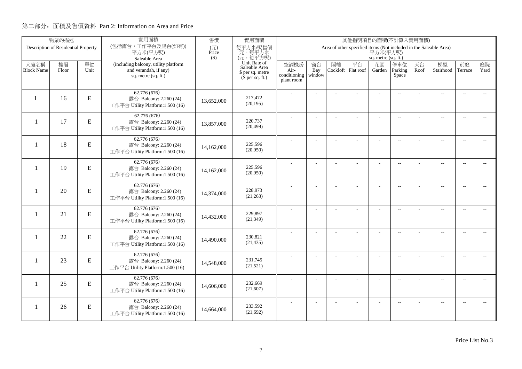|                   | 物業的描述                               |           | 實用面積                                                       | 售價           | 實用面積<br>其他指明項目的面積(不計算入實用面積)          |                      |                |          |                                                                   |                     |                          |      |                          |                          |                          |
|-------------------|-------------------------------------|-----------|------------------------------------------------------------|--------------|--------------------------------------|----------------------|----------------|----------|-------------------------------------------------------------------|---------------------|--------------------------|------|--------------------------|--------------------------|--------------------------|
|                   | Description of Residential Property |           | (包括露台,工作平台及陽台(如有))<br>平方米(平方呎)                             | (元)<br>Price | 每平方米/呎售價<br>元,每平方米                   |                      |                |          | Area of other specified items (Not included in the Saleable Area) | 平方米(平方呎)            |                          |      |                          |                          |                          |
|                   |                                     |           | Saleable Area                                              | $($ \$)      | (元,每平方呎)                             |                      |                |          |                                                                   | sq. metre (sq. ft.) |                          |      |                          |                          |                          |
| 大廈名稱              | 樓層                                  | 單位        | (including balcony, utility platform                       |              | Unit Rate of<br>Saleable Area        | 空調機房                 | 窗台             | 閣樓       | 平台                                                                | 花園                  | 停車位                      | 天台   | 梯屋                       | 前庭                       | 庭院                       |
| <b>Block Name</b> | Floor                               | Unit      | and verandah, if any)<br>sq. metre (sq. ft.)               |              | \$ per sq. metre<br>$$$ per sq. ft.) | Air-<br>conditioning | Bay<br>window  | Cockloft | Flat roof                                                         | Garden              | Parking<br>Space         | Roof | Stairhood                | Terrace                  | Yard                     |
|                   |                                     |           |                                                            |              |                                      | plant room           |                |          |                                                                   |                     |                          |      |                          |                          |                          |
|                   |                                     |           | 62.776 (676)                                               |              |                                      |                      |                |          |                                                                   |                     | $\overline{a}$           |      | $\overline{\phantom{a}}$ | $\overline{\phantom{a}}$ |                          |
| $\mathbf{1}$      | 16                                  | ${\bf E}$ | 露台 Balcony: 2.260 (24)                                     | 13,652,000   | 217,472<br>(20, 195)                 |                      |                |          |                                                                   |                     |                          |      |                          |                          |                          |
|                   |                                     |           | 工作平台 Utility Platform:1.500 (16)                           |              |                                      |                      |                |          |                                                                   |                     |                          |      |                          |                          |                          |
| $\mathbf{1}$      | 17                                  | ${\bf E}$ | 62.776 (676)<br>露台 Balcony: 2.260 (24)                     |              | 220,737                              |                      |                |          | ÷.                                                                | ÷                   | $\overline{a}$           |      | $\overline{a}$           | $\sim$                   |                          |
|                   |                                     |           | 工作平台 Utility Platform:1.500 (16)                           | 13,857,000   | (20, 499)                            |                      |                |          |                                                                   |                     |                          |      |                          |                          |                          |
|                   |                                     |           | 62.776 (676)                                               |              |                                      |                      |                |          |                                                                   |                     |                          |      |                          |                          |                          |
| -1                | 18                                  | E         | 露台 Balcony: 2.260 (24)                                     | 14,162,000   | 225,596                              |                      | L.             |          |                                                                   | L,                  | $\overline{a}$           |      | $\overline{\phantom{a}}$ | $\sim$                   | $\overline{a}$           |
|                   |                                     |           | 工作平台 Utility Platform:1.500 (16)                           |              | (20,950)                             |                      |                |          |                                                                   |                     |                          |      |                          |                          |                          |
|                   |                                     |           | 62.776 (676)                                               |              |                                      |                      |                |          |                                                                   | ÷.                  | $\overline{a}$           |      | $\overline{\phantom{a}}$ | $\overline{\phantom{a}}$ | $\overline{a}$           |
| $\mathbf{1}$      | 19                                  | ${\bf E}$ | 露台 Balcony: 2.260 (24)                                     | 14,162,000   | 225,596<br>(20,950)                  |                      |                |          |                                                                   |                     |                          |      |                          |                          |                          |
|                   |                                     |           | 工作平台 Utility Platform:1.500 (16)                           |              |                                      |                      |                |          |                                                                   |                     |                          |      |                          |                          |                          |
| $\mathbf{1}$      | 20                                  | ${\bf E}$ | 62.776 (676)<br>露台 Balcony: 2.260 (24)                     |              | 228,973                              |                      |                |          |                                                                   |                     | $\sim$                   |      | $\overline{\phantom{a}}$ | $\sim$                   | $\sim$                   |
|                   |                                     |           | 工作平台 Utility Platform:1.500 (16)                           | 14,374,000   | (21,263)                             |                      |                |          |                                                                   |                     |                          |      |                          |                          |                          |
|                   |                                     |           | 62.776 (676)                                               |              |                                      |                      | $\overline{a}$ |          |                                                                   | ÷,                  | $\overline{\phantom{m}}$ |      | $\overline{\phantom{m}}$ | $\overline{\phantom{a}}$ | $- -$                    |
| $\mathbf{1}$      | 21                                  | ${\bf E}$ | 露台 Balcony: 2.260 (24)                                     | 14,432,000   | 229,897                              |                      |                |          |                                                                   |                     |                          |      |                          |                          |                          |
|                   |                                     |           | 工作平台 Utility Platform:1.500 (16)                           |              | (21, 349)                            |                      |                |          |                                                                   |                     |                          |      |                          |                          |                          |
|                   |                                     |           | 62.776 (676)                                               |              |                                      |                      | ÷              |          |                                                                   | $\overline{a}$      | $\overline{a}$           |      | $\overline{a}$           | $\overline{\phantom{a}}$ | $- -$                    |
| $\mathbf{1}$      | 22                                  | ${\bf E}$ | 露台 Balcony: 2.260 (24)<br>工作平台 Utility Platform:1.500 (16) | 14,490,000   | 230,821<br>(21, 435)                 |                      |                |          |                                                                   |                     |                          |      |                          |                          |                          |
|                   |                                     |           |                                                            |              |                                      |                      |                |          |                                                                   |                     |                          |      |                          |                          |                          |
| -1                | 23                                  | E         | 62.776 (676)<br>露台 Balcony: 2.260 (24)                     |              | 231,745                              |                      | L.             |          | L,                                                                | L,                  | $\overline{\phantom{a}}$ |      | $\overline{\phantom{a}}$ | $\sim$                   | $\overline{a}$           |
|                   |                                     |           | 工作平台 Utility Platform:1.500 (16)                           | 14,548,000   | (21,521)                             |                      |                |          |                                                                   |                     |                          |      |                          |                          |                          |
|                   |                                     |           | 62.776 (676)                                               |              |                                      |                      |                |          | L,                                                                | ÷,                  | $\overline{\phantom{m}}$ |      | $\overline{\phantom{a}}$ | $\sim$                   | $\overline{a}$           |
| 1                 | 25                                  | ${\bf E}$ | 露台 Balcony: 2.260 (24)                                     | 14,606,000   | 232,669                              |                      |                |          |                                                                   |                     |                          |      |                          |                          |                          |
|                   |                                     |           | 工作平台 Utility Platform:1.500 (16)                           |              | (21,607)                             |                      |                |          |                                                                   |                     |                          |      |                          |                          |                          |
|                   |                                     |           | 62.776 (676)                                               |              | 233,592                              |                      |                |          |                                                                   |                     | $\overline{\phantom{a}}$ |      | $\overline{\phantom{m}}$ | $\overline{a}$           | $\overline{\phantom{a}}$ |
| 1                 | 26                                  | ${\bf E}$ | 露台 Balcony: 2.260 (24)<br>工作平台 Utility Platform:1.500 (16) | 14,664,000   | (21,692)                             |                      |                |          |                                                                   |                     |                          |      |                          |                          |                          |
|                   |                                     |           |                                                            |              |                                      |                      |                |          |                                                                   |                     |                          |      |                          |                          |                          |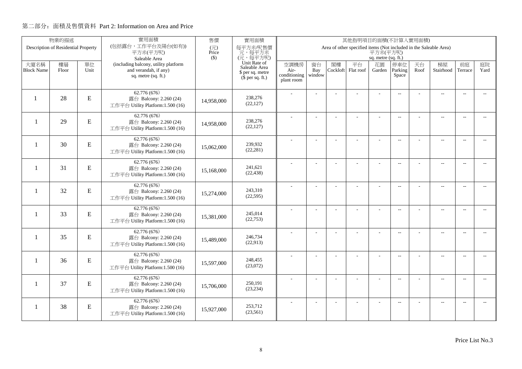|                           | 物業的描述                               |            | 實用面積                                                                                 | 售價           | 實用面積<br>其他指明項目的面積(不計算入實用面積)                                           |                              |                     |                |                                                                   |                     |                          |            |                          |                          |                          |
|---------------------------|-------------------------------------|------------|--------------------------------------------------------------------------------------|--------------|-----------------------------------------------------------------------|------------------------------|---------------------|----------------|-------------------------------------------------------------------|---------------------|--------------------------|------------|--------------------------|--------------------------|--------------------------|
|                           | Description of Residential Property |            | (包括露台,工作平台及陽台(如有))<br>平方米(平方呎)                                                       | (元)<br>Price | 每平方米/呎售價<br>元,每平方米                                                    |                              |                     |                | Area of other specified items (Not included in the Saleable Area) | 平方米(平方呎)            |                          |            |                          |                          |                          |
|                           |                                     |            | Saleable Area                                                                        | $($ \$)      | (元,每平方呎)                                                              |                              |                     |                |                                                                   | sq. metre (sq. ft.) |                          |            |                          |                          |                          |
| 大廈名稱<br><b>Block Name</b> | 樓層<br>Floor                         | 單位<br>Unit | (including balcony, utility platform<br>and verandah, if any)<br>sq. metre (sq. ft.) |              | Unit Rate of<br>Saleable Area<br>\$ per sq. metre<br>$$$ per sq. ft.) | 空調機房<br>Air-<br>conditioning | 窗台<br>Bay<br>window | 閣樓<br>Cockloft | 平台<br>Flat roof                                                   | 花園<br>Garden        | 停車位<br>Parking<br>Space  | 天台<br>Roof | 梯屋<br>Stairhood          | 前庭<br>Terrace            | 庭院<br>Yard               |
|                           |                                     |            |                                                                                      |              |                                                                       | plant room                   |                     |                |                                                                   |                     |                          |            |                          |                          |                          |
| $\mathbf{1}$              | 28                                  | ${\bf E}$  | 62.776(676)<br>露台 Balcony: 2.260 (24)<br>工作平台 Utility Platform:1.500 (16)            | 14,958,000   | 238,276<br>(22, 127)                                                  |                              |                     |                |                                                                   |                     | $\overline{a}$           |            | $\overline{\phantom{a}}$ | $\overline{\phantom{a}}$ |                          |
| $\overline{\phantom{0}}$  | 29                                  | ${\bf E}$  | 62.776 (676)<br>露台 Balcony: 2.260 (24)<br>工作平台 Utility Platform:1.500 (16)           | 14,958,000   | 238,276<br>(22, 127)                                                  |                              |                     |                | ÷                                                                 | ÷                   | $\overline{a}$           |            | $\overline{a}$           | $\sim$                   |                          |
| $\overline{\phantom{0}}$  | 30                                  | E          | 62.776 (676)<br>露台 Balcony: 2.260 (24)<br>工作平台 Utility Platform:1.500 (16)           | 15,062,000   | 239,932<br>(22, 281)                                                  |                              | L.                  |                |                                                                   | L,                  | $\overline{a}$           |            | $\overline{\phantom{a}}$ | $\sim$                   | $\overline{a}$           |
| $\mathbf{1}$              | 31                                  | ${\bf E}$  | 62.776 (676)<br>露台 Balcony: 2.260 (24)<br>工作平台 Utility Platform:1.500 (16)           | 15,168,000   | 241,621<br>(22, 438)                                                  |                              |                     |                |                                                                   | ÷.                  | $\mathbf{L}$             |            | $\overline{\phantom{a}}$ | $\overline{\phantom{a}}$ | $- -$                    |
| $\mathbf{1}$              | 32                                  | ${\bf E}$  | 62.776 (676)<br>露台 Balcony: 2.260 (24)<br>工作平台 Utility Platform:1.500 (16)           | 15,274,000   | 243,310<br>(22, 595)                                                  |                              |                     |                |                                                                   |                     | $\sim$                   |            | $\overline{\phantom{a}}$ | $\sim$                   | $\sim$                   |
| $\mathbf{1}$              | 33                                  | ${\bf E}$  | 62.776 (676)<br>露台 Balcony: 2.260 (24)<br>工作平台 Utility Platform:1.500 (16)           | 15,381,000   | 245,014<br>(22, 753)                                                  |                              | $\overline{a}$      |                |                                                                   | ÷,                  | $\overline{\phantom{m}}$ |            | $\overline{\phantom{m}}$ | $\overline{\phantom{a}}$ | $- -$                    |
| $\mathbf{1}$              | 35                                  | ${\bf E}$  | 62.776 (676)<br>露台 Balcony: 2.260 (24)<br>工作平台 Utility Platform:1.500 (16)           | 15,489,000   | 246,734<br>(22, 913)                                                  |                              | ÷                   |                |                                                                   | $\overline{a}$      | $\overline{a}$           |            | $\overline{a}$           | $\overline{\phantom{a}}$ | $- -$                    |
| -1                        | 36                                  | E          | 62.776 (676)<br>露台 Balcony: 2.260 (24)<br>工作平台 Utility Platform:1.500 (16)           | 15,597,000   | 248,455<br>(23,072)                                                   |                              | L.                  |                | L,                                                                | L,                  | $\overline{\phantom{a}}$ |            | $\overline{\phantom{a}}$ | $\sim$                   | $\overline{a}$           |
| 1                         | 37                                  | ${\bf E}$  | 62.776 (676)<br>露台 Balcony: 2.260 (24)<br>工作平台 Utility Platform:1.500 (16)           | 15,706,000   | 250,191<br>(23, 234)                                                  |                              |                     |                | L,                                                                |                     | $\overline{\phantom{m}}$ |            | $\overline{\phantom{a}}$ | $\sim$                   | $- -$                    |
| 1                         | 38                                  | ${\bf E}$  | 62.776 (676)<br>露台 Balcony: 2.260 (24)<br>工作平台 Utility Platform:1.500 (16)           | 15,927,000   | 253,712<br>(23, 561)                                                  |                              |                     |                |                                                                   |                     | $\overline{\phantom{a}}$ |            | $\overline{\phantom{m}}$ | $\overline{a}$           | $\overline{\phantom{a}}$ |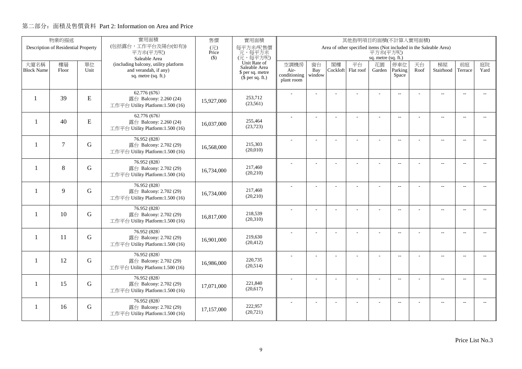|                           | 物業的描述                               |             | 實用面積                                                                                                  | 售價           | 實用面積<br>其他指明項目的面積(不計算入實用面積)                                                       |                                            |                     |                |                                                                   |                                     |                          |            |                          |                          |                          |
|---------------------------|-------------------------------------|-------------|-------------------------------------------------------------------------------------------------------|--------------|-----------------------------------------------------------------------------------|--------------------------------------------|---------------------|----------------|-------------------------------------------------------------------|-------------------------------------|--------------------------|------------|--------------------------|--------------------------|--------------------------|
|                           | Description of Residential Property |             | (包括露台,工作平台及陽台(如有))<br>平方米(平方呎)                                                                        | (元)<br>Price | 每平方米/呎售價<br>元,每平方米                                                                |                                            |                     |                | Area of other specified items (Not included in the Saleable Area) | 平方米(平方呎)                            |                          |            |                          |                          |                          |
| 大廈名稱<br><b>Block Name</b> | 樓層<br>Floor                         | 單位<br>Unit  | Saleable Area<br>(including balcony, utility platform<br>and verandah, if any)<br>sq. metre (sq. ft.) | $($ \$)      | (元,每平方呎)<br>Unit Rate of<br>Saleable Area<br>\$ per sq. metre<br>$$$ per sq. ft.) | 空調機房<br>Air-<br>conditioning<br>plant room | 窗台<br>Bay<br>window | 閣樓<br>Cockloft | 平台<br>Flat roof                                                   | sq. metre (sq. ft.)<br>花園<br>Garden | 停車位<br>Parking<br>Space  | 天台<br>Roof | 梯屋<br>Stairhood          | 前庭<br>Terrace            | 庭院<br>Yard               |
| $\mathbf{1}$              | 39                                  | ${\bf E}$   | 62.776(676)<br>露台 Balcony: 2.260 (24)<br>工作平台 Utility Platform:1.500 (16)                             | 15,927,000   | 253,712<br>(23, 561)                                                              |                                            |                     |                |                                                                   |                                     | $\overline{a}$           |            | $\overline{a}$           | $\overline{\phantom{a}}$ |                          |
| $\mathbf{1}$              | 40                                  | ${\bf E}$   | 62.776 (676)<br>露台 Balcony: 2.260 (24)<br>工作平台 Utility Platform:1.500 (16)                            | 16,037,000   | 255,464<br>(23, 723)                                                              |                                            |                     |                | ÷                                                                 | ÷                                   | $\overline{a}$           |            | $\overline{\phantom{a}}$ | $\sim$                   |                          |
| $\overline{\phantom{0}}$  | $\tau$                              | G           | 76.952 (828)<br>露台 Balcony: 2.702 (29)<br>工作平台 Utility Platform:1.500 (16)                            | 16,568,000   | 215,303<br>(20,010)                                                               |                                            | L.                  |                |                                                                   | L,                                  | $\overline{a}$           |            | $\overline{\phantom{a}}$ | $\sim$                   | $\overline{a}$           |
| $\mathbf{1}$              | 8                                   | G           | 76.952 (828)<br>露台 Balcony: 2.702 (29)<br>工作平台 Utility Platform:1.500 (16)                            | 16,734,000   | 217,460<br>(20, 210)                                                              |                                            |                     |                |                                                                   | $\overline{a}$                      | $\overline{a}$           |            | $\overline{\phantom{a}}$ | $\overline{\phantom{a}}$ | $- -$                    |
| $\mathbf{1}$              | 9                                   | G           | 76.952 (828)<br>露台 Balcony: 2.702 (29)<br>工作平台 Utility Platform:1.500 (16)                            | 16,734,000   | 217,460<br>(20, 210)                                                              |                                            |                     |                |                                                                   |                                     | $\sim$                   |            | $\overline{\phantom{a}}$ | $\sim$                   | $\sim$                   |
| $\mathbf{1}$              | 10                                  | G           | 76.952 (828)<br>露台 Balcony: 2.702 (29)<br>工作平台 Utility Platform:1.500 (16)                            | 16,817,000   | 218,539<br>(20,310)                                                               |                                            | $\overline{a}$      |                |                                                                   | ÷,                                  | $\overline{\phantom{m}}$ |            | $\overline{\phantom{m}}$ | $\overline{\phantom{a}}$ | $- -$                    |
| $\mathbf{1}$              | 11                                  | G           | 76.952 (828)<br>露台 Balcony: 2.702 (29)<br>工作平台 Utility Platform:1.500 (16)                            | 16,901,000   | 219,630<br>(20, 412)                                                              |                                            | ÷                   |                |                                                                   | $\overline{a}$                      | $\overline{a}$           |            | $\overline{a}$           | $\overline{\phantom{a}}$ | $- -$                    |
| $\mathbf{1}$              | 12                                  | G           | 76.952 (828)<br>露台 Balcony: 2.702 (29)<br>工作平台 Utility Platform:1.500 (16)                            | 16,986,000   | 220,735<br>(20,514)                                                               |                                            | L.                  |                | L,                                                                | L,                                  | $\overline{\phantom{a}}$ |            | $\overline{a}$           | $\sim$                   | $\overline{a}$           |
| 1                         | 15                                  | $\mathbf G$ | 76.952 (828)<br>露台 Balcony: 2.702 (29)<br>工作平台 Utility Platform:1.500 (16)                            | 17,071,000   | 221,840<br>(20, 617)                                                              |                                            |                     |                | L,                                                                |                                     | $\overline{\phantom{m}}$ |            | $\overline{\phantom{a}}$ | $\sim$                   | $- -$                    |
| -1                        | 16                                  | G           | 76.952 (828)<br>露台 Balcony: 2.702 (29)<br>工作平台 Utility Platform:1.500 (16)                            | 17,157,000   | 222,957<br>(20, 721)                                                              |                                            |                     |                |                                                                   |                                     | $\overline{\phantom{a}}$ |            | $\overline{\phantom{m}}$ | $\overline{a}$           | $\overline{\phantom{a}}$ |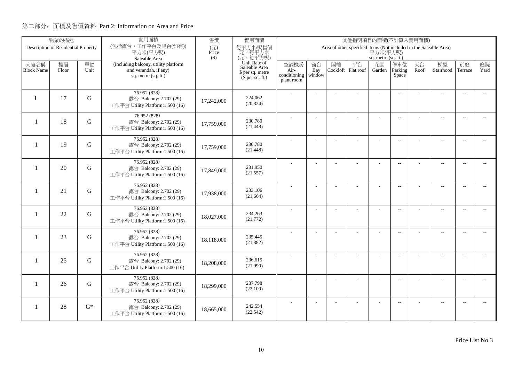|                          | 物業的描述                               |             | 實用面積                                                       | 售價                                | 實用面積<br>其他指明項目的面積(不計算入實用面積)   |                      |                |          |                                                                   |                     |                          |      |                          |                          |                          |
|--------------------------|-------------------------------------|-------------|------------------------------------------------------------|-----------------------------------|-------------------------------|----------------------|----------------|----------|-------------------------------------------------------------------|---------------------|--------------------------|------|--------------------------|--------------------------|--------------------------|
|                          | Description of Residential Property |             | (包括露台,工作平台及陽台(如有))<br>平方米(平方呎)                             | $(\overrightarrow{\pi})$<br>Price | 每平方米/呎售價<br>元,每平方米            |                      |                |          | Area of other specified items (Not included in the Saleable Area) | 平方米(平方呎)            |                          |      |                          |                          |                          |
|                          |                                     |             | Saleable Area                                              | $($ \$)                           | (元,每平方呎)                      |                      |                |          |                                                                   | sq. metre (sq. ft.) |                          |      |                          |                          |                          |
| 大廈名稱                     | 樓層                                  | 單位          | (including balcony, utility platform                       |                                   | Unit Rate of<br>Saleable Area | 空調機房                 | 窗台             | 閣樓       | 平台                                                                | 花園                  | 停車位                      | 天台   | 梯屋                       | 前庭                       | 庭院                       |
| <b>Block Name</b>        | Floor                               | Unit        | and verandah, if any)<br>sq. metre $(sq, ft.)$             |                                   | \$ per sq. metre              | Air-<br>conditioning | Bay<br>window  | Cockloft | Flat roof                                                         | Garden              | Parking<br>Space         | Roof | Stairhood                | Terrace                  | Yard                     |
|                          |                                     |             |                                                            |                                   | $(\bar{\S}$ per sq. ft.)      | plant room           |                |          |                                                                   |                     |                          |      |                          |                          |                          |
|                          |                                     |             | 76.952 (828)                                               |                                   |                               |                      |                |          |                                                                   |                     | $\overline{a}$           |      | $\overline{a}$           |                          |                          |
|                          | 17                                  | G           | 露台 Balcony: 2.702 (29)                                     | 17,242,000                        | 224,062                       |                      |                |          |                                                                   |                     |                          |      |                          |                          |                          |
|                          |                                     |             | 工作平台 Utility Platform:1.500 (16)                           |                                   | (20, 824)                     |                      |                |          |                                                                   |                     |                          |      |                          |                          |                          |
|                          |                                     |             | 76.952 (828)                                               |                                   |                               |                      |                |          |                                                                   |                     | $\overline{\phantom{a}}$ |      | $\overline{\phantom{a}}$ | $\sim$                   |                          |
| $\mathbf{1}$             | 18                                  | $\mathbf G$ | 露台 Balcony: 2.702 (29)<br>工作平台 Utility Platform:1.500 (16) | 17,759,000                        | 230,780<br>(21, 448)          |                      |                |          |                                                                   |                     |                          |      |                          |                          |                          |
|                          |                                     |             |                                                            |                                   |                               |                      |                |          |                                                                   |                     |                          |      |                          |                          |                          |
| $\overline{\phantom{0}}$ | 19                                  | G           | 76.952 (828)<br>露台 Balcony: 2.702 (29)                     |                                   | 230,780                       |                      | L.             |          | L,                                                                | ÷,                  | $\overline{a}$           |      | $\overline{a}$           | $\overline{a}$           | $\overline{a}$           |
|                          |                                     |             | 工作平台 Utility Platform:1.500 (16)                           | 17,759,000                        | (21, 448)                     |                      |                |          |                                                                   |                     |                          |      |                          |                          |                          |
|                          |                                     |             | 76.952 (828)                                               |                                   |                               |                      |                |          |                                                                   |                     | $\overline{\phantom{a}}$ |      | $\overline{a}$           | $\overline{a}$           | $- -$                    |
| $\mathbf{1}$             | 20                                  | G           | 露台 Balcony: 2.702 (29)                                     | 17,849,000                        | 231,950<br>(21, 557)          |                      |                |          |                                                                   |                     |                          |      |                          |                          |                          |
|                          |                                     |             | 工作平台 Utility Platform:1.500 (16)                           |                                   |                               |                      |                |          |                                                                   |                     |                          |      |                          |                          |                          |
|                          | 21                                  | G           | 76.952 (828)                                               |                                   | 233,106                       |                      |                |          |                                                                   | ÷.                  | $\overline{a}$           |      | $\overline{a}$           | $\overline{\phantom{a}}$ | $- -$                    |
| -1                       |                                     |             | 露台 Balcony: 2.702 (29)<br>工作平台 Utility Platform:1.500 (16) | 17,938,000                        | (21, 664)                     |                      |                |          |                                                                   |                     |                          |      |                          |                          |                          |
|                          |                                     |             | 76.952 (828)                                               |                                   |                               |                      |                |          |                                                                   |                     |                          |      |                          |                          |                          |
| $\mathbf{1}$             | 22                                  | G           | 露台 Balcony: 2.702 (29)                                     | 18,027,000                        | 234,263                       |                      |                |          |                                                                   |                     | $\overline{\phantom{a}}$ |      | $\overline{a}$           | $\overline{\phantom{a}}$ | $- -$                    |
|                          |                                     |             | 工作平台 Utility Platform:1.500 (16)                           |                                   | (21,772)                      |                      |                |          |                                                                   |                     |                          |      |                          |                          |                          |
|                          |                                     |             | 76.952 (828)                                               |                                   |                               |                      | J.             |          |                                                                   |                     | $\overline{\phantom{a}}$ |      | $\overline{a}$           | $\overline{a}$           | $- -$                    |
| $\mathbf{1}$             | 23                                  | G           | 露台 Balcony: 2.702 (29)                                     | 18,118,000                        | 235,445<br>(21, 882)          |                      |                |          |                                                                   |                     |                          |      |                          |                          |                          |
|                          |                                     |             | 工作平台 Utility Platform:1.500 (16)                           |                                   |                               |                      |                |          |                                                                   |                     |                          |      |                          |                          |                          |
| $\mathbf{1}$             | 25                                  | G           | 76.952 (828)<br>露台 Balcony: 2.702 (29)                     |                                   | 236,615                       |                      |                |          |                                                                   | L,                  | $\overline{a}$           |      | $\overline{a}$           | $\sim$                   | $\overline{\phantom{0}}$ |
|                          |                                     |             | 工作平台 Utility Platform:1.500 (16)                           | 18,208,000                        | (21,990)                      |                      |                |          |                                                                   |                     |                          |      |                          |                          |                          |
|                          |                                     |             | 76.952 (828)                                               |                                   |                               |                      | ÷              |          |                                                                   | ÷                   | $\overline{a}$           |      | $\overline{\phantom{a}}$ | $\sim$                   | $\sim$                   |
| $\mathbf{1}$             | 26                                  | G           | 露台 Balcony: 2.702 (29)                                     | 18,299,000                        | 237,798                       |                      |                |          |                                                                   |                     |                          |      |                          |                          |                          |
|                          |                                     |             | 工作平台 Utility Platform:1.500 (16)                           |                                   | (22,100)                      |                      |                |          |                                                                   |                     |                          |      |                          |                          |                          |
|                          |                                     |             | 76.952 (828)                                               |                                   |                               |                      | $\overline{a}$ |          | ÷,                                                                | ÷,                  | $\overline{a}$           |      | $\qquad \qquad -$        | $\overline{a}$           | $\overline{a}$           |
| 1                        | 28                                  | $G^*$       | 露台 Balcony: 2.702 (29)<br>工作平台 Utility Platform:1.500 (16) | 18,665,000                        | 242,554<br>(22, 542)          |                      |                |          |                                                                   |                     |                          |      |                          |                          |                          |
|                          |                                     |             |                                                            |                                   |                               |                      |                |          |                                                                   |                     |                          |      |                          |                          |                          |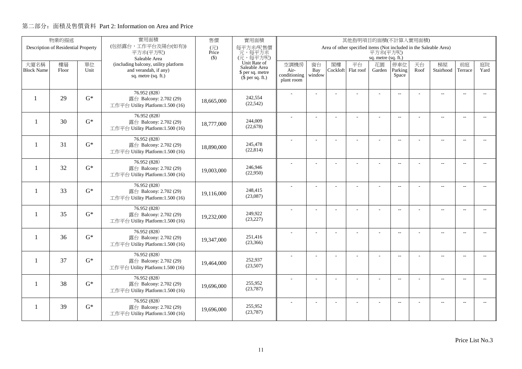|                          | 實用面積<br>物業的描述<br>售價<br>實用面積<br>其他指明項目的面積(不計算入實用面積)<br>(包括露台,工作平台及陽台(如有))<br>Description of Residential Property<br>Area of other specified items (Not included in the Saleable Area) |       |                                                            |              |                               |                      |                |          |           |                     |                          |      |                          |                          |                          |
|--------------------------|--------------------------------------------------------------------------------------------------------------------------------------------------------------------------------------|-------|------------------------------------------------------------|--------------|-------------------------------|----------------------|----------------|----------|-----------|---------------------|--------------------------|------|--------------------------|--------------------------|--------------------------|
|                          |                                                                                                                                                                                      |       | 平方米(平方呎)                                                   | (元)<br>Price | 每平方米/呎售價<br>元,每平方米            |                      |                |          |           | 平方米(平方呎)            |                          |      |                          |                          |                          |
|                          |                                                                                                                                                                                      |       | Saleable Area                                              | $($ \$)      | (元,每平方呎)                      |                      |                |          |           | sq. metre (sq. ft.) |                          |      |                          |                          |                          |
| 大廈名稱                     | 樓層                                                                                                                                                                                   | 單位    | (including balcony, utility platform                       |              | Unit Rate of<br>Saleable Area | 空調機房                 | 窗台             | 閣樓       | 平台        | 花園                  | 停車位                      | 天台   | 梯屋                       | 前庭                       | 庭院<br>Yard               |
| <b>Block Name</b>        | Floor                                                                                                                                                                                | Unit  | and verandah, if any)<br>sq. metre (sq. ft.)               |              | \$ per sq. metre              | Air-<br>conditioning | Bay<br>window  | Cockloft | Flat roof | Garden              | Parking<br>Space         | Roof | Stairhood                | Terrace                  |                          |
|                          |                                                                                                                                                                                      |       |                                                            |              | $$$ per sq. ft.)              | plant room           |                |          |           |                     |                          |      |                          |                          |                          |
|                          |                                                                                                                                                                                      |       | 76.952 (828)                                               |              |                               |                      |                |          |           |                     | $\overline{a}$           |      | $\overline{a}$           | $\overline{\phantom{a}}$ |                          |
|                          | 29                                                                                                                                                                                   | $G^*$ | 露台 Balcony: 2.702 (29)                                     | 18,665,000   | 242,554                       |                      |                |          |           |                     |                          |      |                          |                          |                          |
|                          |                                                                                                                                                                                      |       | 工作平台 Utility Platform:1.500 (16)                           |              | (22, 542)                     |                      |                |          |           |                     |                          |      |                          |                          |                          |
|                          |                                                                                                                                                                                      |       | 76.952 (828)                                               |              |                               |                      |                |          | ÷         | ÷                   | $\overline{\phantom{a}}$ |      | $\overline{\phantom{a}}$ | $\sim$                   |                          |
| $\overline{\phantom{0}}$ | 30                                                                                                                                                                                   | $G^*$ | 露台 Balcony: 2.702 (29)<br>工作平台 Utility Platform:1.500 (16) | 18,777,000   | 244,009<br>(22, 678)          |                      |                |          |           |                     |                          |      |                          |                          |                          |
|                          |                                                                                                                                                                                      |       |                                                            |              |                               |                      |                |          |           |                     |                          |      |                          |                          |                          |
| $\overline{\phantom{0}}$ | 31                                                                                                                                                                                   | $G^*$ | 76.952 (828)<br>露台 Balcony: 2.702 (29)                     |              | 245,478                       |                      | L.             |          |           | L,                  | $\overline{a}$           |      | $\overline{\phantom{a}}$ | $\overline{a}$           | $\overline{a}$           |
|                          |                                                                                                                                                                                      |       | 工作平台 Utility Platform:1.500 (16)                           | 18,890,000   | (22, 814)                     |                      |                |          |           |                     |                          |      |                          |                          |                          |
|                          |                                                                                                                                                                                      |       | 76.952 (828)                                               |              |                               |                      |                |          |           | $\overline{a}$      | $\overline{a}$           |      | $\overline{\phantom{a}}$ | $\overline{\phantom{a}}$ | $- -$                    |
| -1                       | 32                                                                                                                                                                                   | $G^*$ | 露台 Balcony: 2.702 (29)                                     | 19,003,000   | 246,946                       |                      |                |          |           |                     |                          |      |                          |                          |                          |
|                          |                                                                                                                                                                                      |       | 工作平台 Utility Platform:1.500 (16)                           |              | (22,950)                      |                      |                |          |           |                     |                          |      |                          |                          |                          |
|                          |                                                                                                                                                                                      |       | 76.952 (828)                                               |              |                               |                      |                |          |           |                     | $\sim$                   |      | $\overline{\phantom{a}}$ | $\sim$                   | $\sim$                   |
| $\mathbf{1}$             | 33                                                                                                                                                                                   | $G^*$ | 露台 Balcony: 2.702 (29)<br>工作平台 Utility Platform:1.500 (16) | 19,116,000   | 248,415<br>(23,087)           |                      |                |          |           |                     |                          |      |                          |                          |                          |
|                          |                                                                                                                                                                                      |       |                                                            |              |                               |                      |                |          |           |                     |                          |      |                          |                          |                          |
| $\mathbf{1}$             | 35                                                                                                                                                                                   | $G^*$ | 76.952 (828)<br>露台 Balcony: 2.702 (29)                     |              | 249,922                       |                      | $\overline{a}$ |          |           | ÷,                  | $\overline{\phantom{m}}$ |      | $\overline{\phantom{m}}$ | $\overline{\phantom{a}}$ | $- -$                    |
|                          |                                                                                                                                                                                      |       | 工作平台 Utility Platform:1.500 (16)                           | 19,232,000   | (23, 227)                     |                      |                |          |           |                     |                          |      |                          |                          |                          |
|                          |                                                                                                                                                                                      |       | 76.952 (828)                                               |              |                               |                      | ÷              |          |           | $\overline{a}$      | $\overline{a}$           |      | $\overline{a}$           | $\overline{\phantom{a}}$ | $\overline{\phantom{0}}$ |
| $\mathbf{1}$             | 36                                                                                                                                                                                   | $G^*$ | 露台 Balcony: 2.702 (29)                                     | 19.347.000   | 251,416                       |                      |                |          |           |                     |                          |      |                          |                          |                          |
|                          |                                                                                                                                                                                      |       | 工作平台 Utility Platform:1.500 (16)                           |              | (23,366)                      |                      |                |          |           |                     |                          |      |                          |                          |                          |
|                          |                                                                                                                                                                                      |       | 76.952 (828)                                               |              |                               |                      | L.             |          | L,        | L,                  | $\overline{\phantom{a}}$ |      | $\overline{\phantom{a}}$ | $\sim$                   | $\overline{a}$           |
| -1                       | 37                                                                                                                                                                                   | $G^*$ | 露台 Balcony: 2.702 (29)<br>工作平台 Utility Platform:1.500 (16) | 19,464,000   | 252,937<br>(23,507)           |                      |                |          |           |                     |                          |      |                          |                          |                          |
|                          |                                                                                                                                                                                      |       |                                                            |              |                               |                      |                |          |           |                     |                          |      |                          |                          |                          |
| $\mathbf{1}$             | 38                                                                                                                                                                                   | $G^*$ | 76.952 (828)<br>露台 Balcony: 2.702 (29)                     |              | 255,952                       |                      | $\overline{a}$ |          |           |                     | $\overline{\phantom{m}}$ |      | $\overline{\phantom{a}}$ | $\sim$                   | $- -$                    |
|                          |                                                                                                                                                                                      |       | 工作平台 Utility Platform:1.500 (16)                           | 19,696,000   | (23, 787)                     |                      |                |          |           |                     |                          |      |                          |                          |                          |
|                          |                                                                                                                                                                                      |       | 76.952(828)                                                |              |                               |                      |                |          |           |                     |                          |      |                          | $\overline{a}$           | $\overline{\phantom{a}}$ |
| 1                        | 39                                                                                                                                                                                   | $G^*$ | 露台 Balcony: 2.702 (29)                                     | 19,696,000   | 255,952                       |                      |                |          |           |                     | $\overline{\phantom{a}}$ |      | $\overline{\phantom{m}}$ |                          |                          |
|                          |                                                                                                                                                                                      |       | 工作平台 Utility Platform:1.500 (16)                           |              | (23, 787)                     |                      |                |          |           |                     |                          |      |                          |                          |                          |
|                          |                                                                                                                                                                                      |       |                                                            |              |                               |                      |                |          |           |                     |                          |      |                          |                          |                          |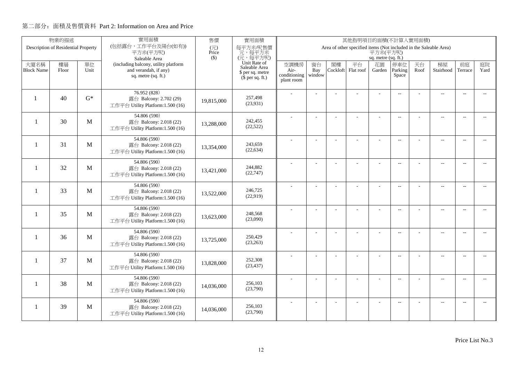|                           | 實用面積<br>物業的描述<br>售價<br>實用面積<br>其他指明項目的面積(不計算入實用面積)<br>(包括露台,工作平台及陽台(如有))<br>Area of other specified items (Not included in the Saleable Area)<br>Description of Residential Property |              |                                                               |              |                                      |              |                |                |                 |                     |                          |            |                          |                          |                |
|---------------------------|--------------------------------------------------------------------------------------------------------------------------------------------------------------------------------------|--------------|---------------------------------------------------------------|--------------|--------------------------------------|--------------|----------------|----------------|-----------------|---------------------|--------------------------|------------|--------------------------|--------------------------|----------------|
|                           |                                                                                                                                                                                      |              | 平方米(平方呎)                                                      | (元)<br>Price | 每平方米/呎售價<br>元,每平方米                   |              |                |                |                 | 平方米(平方呎)            |                          |            |                          |                          |                |
|                           |                                                                                                                                                                                      |              | Saleable Area                                                 | $($ \$)      | (元,每平方呎)                             |              |                |                |                 | sq. metre (sq. ft.) |                          |            |                          |                          |                |
| 大廈名稱<br><b>Block Name</b> | 樓層<br>Floor                                                                                                                                                                          | 單位<br>Unit   | (including balcony, utility platform<br>and verandah, if any) |              | Unit Rate of<br>Saleable Area        | 空調機房<br>Air- | 窗台<br>Bay      | 閣樓<br>Cockloft | 平台<br>Flat roof | 花園<br>Garden        | 停車位<br>Parking           | 天台<br>Roof | 梯屋<br>Stairhood          | 前庭<br>Terrace            | 庭院<br>Yard     |
|                           |                                                                                                                                                                                      |              | sq. metre (sq. ft.)                                           |              | \$ per sq. metre<br>$$$ per sq. ft.) | conditioning | window         |                |                 |                     | Space                    |            |                          |                          |                |
|                           |                                                                                                                                                                                      |              |                                                               |              |                                      | plant room   |                |                |                 |                     |                          |            |                          |                          |                |
|                           |                                                                                                                                                                                      |              | 76.952 (828)                                                  |              |                                      |              |                |                |                 |                     | $\overline{a}$           |            | $\overline{a}$           | $\overline{\phantom{a}}$ |                |
| $\mathbf{1}$              | 40                                                                                                                                                                                   | $G^*$        | 露台 Balcony: 2.702 (29)<br>工作平台 Utility Platform:1.500 (16)    | 19,815,000   | 257,498<br>(23,931)                  |              |                |                |                 |                     |                          |            |                          |                          |                |
|                           |                                                                                                                                                                                      |              |                                                               |              |                                      |              |                |                |                 |                     |                          |            |                          |                          |                |
| $\mathbf{1}$              | 30                                                                                                                                                                                   | M            | 54.806 (590)<br>露台 Balcony: 2.018 (22)                        |              | 242,455                              |              |                |                | ÷               | ÷                   | $\overline{a}$           |            | $\overline{a}$           | $\sim$                   |                |
|                           |                                                                                                                                                                                      |              | 工作平台 Utility Platform:1.500 (16)                              | 13,288,000   | (22, 522)                            |              |                |                |                 |                     |                          |            |                          |                          |                |
|                           |                                                                                                                                                                                      |              | 54.806 (590)                                                  |              |                                      |              | L.             |                |                 | L,                  | $\overline{a}$           |            | $\overline{\phantom{a}}$ | $\overline{a}$           | $\overline{a}$ |
| $\overline{\phantom{a}}$  | 31                                                                                                                                                                                   | M            | 露台 Balcony: 2.018 (22)<br>工作平台 Utility Platform:1.500 (16)    | 13,354,000   | 243,659<br>(22, 634)                 |              |                |                |                 |                     |                          |            |                          |                          |                |
|                           |                                                                                                                                                                                      |              |                                                               |              |                                      |              |                |                |                 |                     |                          |            |                          |                          |                |
| -1                        | 32                                                                                                                                                                                   | M            | 54.806 (590)<br>露台 Balcony: 2.018 (22)                        |              | 244,882                              |              |                |                |                 | $\overline{a}$      | $\overline{a}$           |            | $\overline{\phantom{a}}$ | $\overline{\phantom{a}}$ | $- -$          |
|                           |                                                                                                                                                                                      |              | 工作平台 Utility Platform:1.500 (16)                              | 13,421,000   | (22, 747)                            |              |                |                |                 |                     |                          |            |                          |                          |                |
|                           |                                                                                                                                                                                      |              | 54.806 (590)                                                  |              |                                      |              |                |                |                 |                     | $\sim$                   |            | $\overline{\phantom{a}}$ | $\sim$                   | $\sim$         |
| $\mathbf{1}$              | 33                                                                                                                                                                                   | M            | 露台 Balcony: 2.018 (22)                                        | 13,522,000   | 246,725<br>(22,919)                  |              |                |                |                 |                     |                          |            |                          |                          |                |
|                           |                                                                                                                                                                                      |              | 工作平台 Utility Platform:1.500 (16)                              |              |                                      |              |                |                |                 |                     |                          |            |                          |                          |                |
| $\mathbf{1}$              | 35                                                                                                                                                                                   | M            | 54.806 (590)<br>露台 Balcony: 2.018 (22)                        |              | 248,568                              |              | $\overline{a}$ |                |                 | ÷,                  | $\overline{\phantom{m}}$ |            | $\overline{\phantom{m}}$ | $\overline{\phantom{a}}$ | $- -$          |
|                           |                                                                                                                                                                                      |              | 工作平台 Utility Platform:1.500 (16)                              | 13,623,000   | (23,090)                             |              |                |                |                 |                     |                          |            |                          |                          |                |
|                           |                                                                                                                                                                                      |              | 54.806 (590)                                                  |              |                                      |              | ÷              |                |                 | $\overline{a}$      | $\overline{a}$           |            | $\overline{a}$           | $\overline{\phantom{a}}$ | $- -$          |
| $\mathbf{1}$              | 36                                                                                                                                                                                   | M            | 露台 Balcony: 2.018 (22)                                        | 13,725,000   | 250,429                              |              |                |                |                 |                     |                          |            |                          |                          |                |
|                           |                                                                                                                                                                                      |              | 工作平台 Utility Platform:1.500 (16)                              |              | (23, 263)                            |              |                |                |                 |                     |                          |            |                          |                          |                |
| -1                        | 37                                                                                                                                                                                   | $\mathbf{M}$ | 54.806 (590)                                                  |              | 252,308                              |              | L.             |                | L,              | L,                  | $\overline{\phantom{a}}$ |            | $\overline{\phantom{a}}$ | $\sim$                   | $\overline{a}$ |
|                           |                                                                                                                                                                                      |              | 露台 Balcony: 2.018 (22)<br>工作平台 Utility Platform:1.500 (16)    | 13,828,000   | (23, 437)                            |              |                |                |                 |                     |                          |            |                          |                          |                |
|                           |                                                                                                                                                                                      |              | 54.806 (590)                                                  |              |                                      |              |                |                |                 |                     |                          |            |                          |                          |                |
| 1                         | 38                                                                                                                                                                                   | M            | 露台 Balcony: 2.018 (22)                                        | 14,036,000   | 256,103                              |              | ÷              |                | L,              |                     | $\overline{\phantom{m}}$ |            | $\overline{\phantom{a}}$ | $\sim$                   | $- -$          |
|                           |                                                                                                                                                                                      |              | 工作平台 Utility Platform:1.500 (16)                              |              | (23,790)                             |              |                |                |                 |                     |                          |            |                          |                          |                |
|                           |                                                                                                                                                                                      |              | 54.806 (590)                                                  |              | 256,103                              |              |                |                |                 |                     | $\overline{\phantom{a}}$ |            | $\overline{\phantom{m}}$ | $\overline{a}$           | $\overline{a}$ |
| 1                         | 39                                                                                                                                                                                   | M            | 露台 Balcony: 2.018 (22)<br>工作平台 Utility Platform:1.500 (16)    | 14.036.000   | (23,790)                             |              |                |                |                 |                     |                          |            |                          |                          |                |
|                           |                                                                                                                                                                                      |              |                                                               |              |                                      |              |                |                |                 |                     |                          |            |                          |                          |                |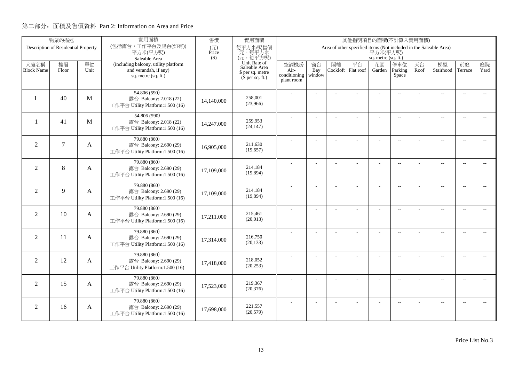|                           | 物業的描述                               |            | 實用面積                                                                                                                                                                                                                 | 售價         | 實用面積                                         |                      |               |                | 其他指明項目的面積(不計算入實用面積) |                |                          |            |                          |                          |                          |
|---------------------------|-------------------------------------|------------|----------------------------------------------------------------------------------------------------------------------------------------------------------------------------------------------------------------------|------------|----------------------------------------------|----------------------|---------------|----------------|---------------------|----------------|--------------------------|------------|--------------------------|--------------------------|--------------------------|
|                           | Description of Residential Property |            | (包括露台,工作平台及陽台(如有))<br>每平方米/呎售價<br>Area of other specified items (Not included in the Saleable Area)<br>(元)<br>平方米(平方呎)<br>平方米(平方呎)<br>元,每平方米<br>Price<br>(元,每平方呎)<br>$($ \$)<br>sq. metre (sq. ft.)<br>Saleable Area |            |                                              |                      |               |                |                     |                |                          |            |                          |                          |                          |
|                           |                                     |            |                                                                                                                                                                                                                      |            |                                              |                      |               |                |                     |                |                          |            |                          |                          |                          |
| 大廈名稱<br><b>Block Name</b> | 樓層                                  | 單位<br>Unit | (including balcony, utility platform<br>and verandah, if any)                                                                                                                                                        |            | Unit Rate of<br>Saleable Area                | 空調機房                 | 窗台            | 閣樓<br>Cockloft | 平台<br>Flat roof     | 花園             | 停車位<br>Parking           | 天台<br>Roof | 梯屋<br>Stairhood          | 前庭                       | 庭院<br>Yard               |
|                           | Floor                               |            | sq. metre (sq. ft.)                                                                                                                                                                                                  |            | \$ per sq. metre<br>$(\bar{\S}$ per sq. ft.) | Air-<br>conditioning | Bay<br>window |                |                     | Garden         | Space                    |            |                          | Terrace                  |                          |
|                           |                                     |            |                                                                                                                                                                                                                      |            |                                              | plant room           |               |                |                     |                |                          |            |                          |                          |                          |
|                           |                                     |            | 54.806 (590)                                                                                                                                                                                                         |            |                                              |                      |               |                |                     |                | $\overline{\phantom{a}}$ |            | $\sim$                   | $\sim$ $\sim$            | $\sim$                   |
| 1                         | 40                                  | M          | 露台 Balcony: 2.018 (22)                                                                                                                                                                                               | 14,140,000 | 258,001<br>(23,966)                          |                      |               |                |                     |                |                          |            |                          |                          |                          |
|                           |                                     |            | 工作平台 Utility Platform:1.500 (16)                                                                                                                                                                                     |            |                                              |                      |               |                |                     |                |                          |            |                          |                          |                          |
| -1                        | 41                                  | M          | 54.806 (590)                                                                                                                                                                                                         |            | 259,953                                      |                      |               |                | L.                  | ÷.             | $\overline{\phantom{a}}$ |            | $\overline{a}$           | $\overline{\phantom{a}}$ |                          |
|                           |                                     |            | 露台 Balcony: 2.018 (22)<br>工作平台 Utility Platform:1.500 (16)                                                                                                                                                           | 14,247,000 | (24, 147)                                    |                      |               |                |                     |                |                          |            |                          |                          |                          |
|                           |                                     |            | 79.880 (860)                                                                                                                                                                                                         |            |                                              |                      |               |                |                     |                |                          |            |                          |                          |                          |
| $\overline{2}$            | $\tau$                              | A          | 露台 Balcony: 2.690 (29)                                                                                                                                                                                               | 16,905,000 | 211,630                                      |                      | ÷.            |                | u.                  | ٠              | $\overline{\phantom{a}}$ |            | $\overline{\phantom{a}}$ | $\overline{\phantom{a}}$ | $\sim$                   |
|                           |                                     |            | 工作平台 Utility Platform:1.500 (16)                                                                                                                                                                                     |            | (19, 657)                                    |                      |               |                |                     |                |                          |            |                          |                          |                          |
|                           |                                     |            | 79.880 (860)                                                                                                                                                                                                         |            |                                              |                      |               |                |                     |                | $\overline{a}$           |            | $\overline{a}$           | $\overline{a}$           | $- -$                    |
| $\overline{2}$            | 8                                   | A          | 露台 Balcony: 2.690 (29)                                                                                                                                                                                               | 17,109,000 | 214,184<br>(19,894)                          |                      |               |                |                     |                |                          |            |                          |                          |                          |
|                           |                                     |            | 工作平台 Utility Platform:1.500 (16)                                                                                                                                                                                     |            |                                              |                      |               |                |                     |                |                          |            |                          |                          |                          |
| 2                         | 9                                   | A          | 79.880 (860)<br>露台 Balcony: 2.690 (29)                                                                                                                                                                               |            | 214,184                                      |                      | L.            |                | $\overline{a}$      | $\overline{a}$ | $\overline{a}$           |            | ц.                       | $\sim$                   | $\sim$                   |
|                           |                                     |            | 工作平台 Utility Platform:1.500 (16)                                                                                                                                                                                     | 17,109,000 | (19, 894)                                    |                      |               |                |                     |                |                          |            |                          |                          |                          |
|                           |                                     |            | 79.880 (860)                                                                                                                                                                                                         |            |                                              |                      |               |                |                     |                |                          |            |                          |                          |                          |
| 2                         | 10                                  | A          | 露台 Balcony: 2.690 (29)                                                                                                                                                                                               | 17,211,000 | 215,461                                      |                      |               |                |                     |                | $\overline{\phantom{a}}$ |            | $\overline{a}$           | $\overline{\phantom{a}}$ | $- -$                    |
|                           |                                     |            | 工作平台 Utility Platform:1.500 (16)                                                                                                                                                                                     |            | (20,013)                                     |                      |               |                |                     |                |                          |            |                          |                          |                          |
|                           |                                     |            | 79.880 (860)                                                                                                                                                                                                         |            |                                              |                      | ÷.            |                |                     | ÷.             | $\overline{\phantom{a}}$ |            | $\overline{\phantom{a}}$ | $\sim$                   | $\overline{\phantom{a}}$ |
| $\overline{2}$            | 11                                  | A          | 露台 Balcony: 2.690 (29)                                                                                                                                                                                               | 17,314,000 | 216,750<br>(20, 133)                         |                      |               |                |                     |                |                          |            |                          |                          |                          |
|                           |                                     |            | 工作平台 Utility Platform:1.500 (16)                                                                                                                                                                                     |            |                                              |                      |               |                |                     |                |                          |            |                          |                          |                          |
| $\overline{2}$            | 12                                  | A          | 79.880 (860)<br>露台 Balcony: 2.690 (29)                                                                                                                                                                               |            | 218,052                                      |                      |               |                |                     | $\overline{a}$ | $\overline{a}$           |            | $\overline{a}$           | $\overline{\phantom{a}}$ | $\overline{\phantom{a}}$ |
|                           |                                     |            | 工作平台 Utility Platform:1.500 (16)                                                                                                                                                                                     | 17,418,000 | (20, 253)                                    |                      |               |                |                     |                |                          |            |                          |                          |                          |
|                           |                                     |            | 79.880 (860)                                                                                                                                                                                                         |            |                                              |                      |               |                |                     |                |                          |            |                          |                          |                          |
| 2                         | 15                                  | A          | 露台 Balcony: 2.690 (29)                                                                                                                                                                                               | 17,523,000 | 219,367                                      |                      | ÷,            |                | L.                  | ÷,             | $\overline{\phantom{m}}$ |            | $\overline{a}$           | $\sim$                   | $\overline{a}$           |
|                           |                                     |            | 工作平台 Utility Platform:1.500 (16)                                                                                                                                                                                     |            | (20, 376)                                    |                      |               |                |                     |                |                          |            |                          |                          |                          |
|                           |                                     |            | 79.880 (860)                                                                                                                                                                                                         |            |                                              |                      | ÷.            |                |                     | ٠              | $\sim$                   |            | $\overline{\phantom{a}}$ | $\sim$                   | $\overline{\phantom{a}}$ |
| 2                         | 16                                  | A          | 露台 Balcony: 2.690 (29)<br>工作平台 Utility Platform:1.500 (16)                                                                                                                                                           | 17,698,000 | 221,557<br>(20, 579)                         |                      |               |                |                     |                |                          |            |                          |                          |                          |
|                           |                                     |            |                                                                                                                                                                                                                      |            |                                              |                      |               |                |                     |                |                          |            |                          |                          |                          |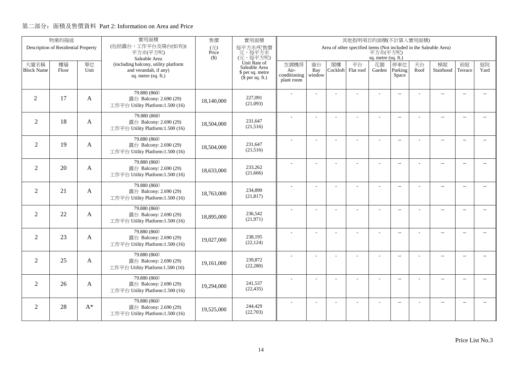|                   | 物業的描述                               |       | 實用面積<br>售價<br>實用面積<br>其他指明項目的面積(不計算入實用面積)<br>(包括露台,工作平台及陽台(如有))<br>Area of other specified items (Not included in the Saleable Area) |                                   |                               |                      |                |          |           |                     |                          |      |                          |                          |                          |
|-------------------|-------------------------------------|-------|--------------------------------------------------------------------------------------------------------------------------------------|-----------------------------------|-------------------------------|----------------------|----------------|----------|-----------|---------------------|--------------------------|------|--------------------------|--------------------------|--------------------------|
|                   | Description of Residential Property |       | 平方米(平方呎)                                                                                                                             | $(\overrightarrow{\pi})$<br>Price | 每平方米/呎售價<br>元,每平方米            |                      |                |          |           | 平方米(平方呎)            |                          |      |                          |                          |                          |
|                   |                                     |       | Saleable Area                                                                                                                        | $($ \$)                           | (元,每平方呎)                      |                      |                |          |           | sq. metre (sq. ft.) |                          |      |                          |                          |                          |
| 大廈名稱              | 樓層                                  | 單位    | (including balcony, utility platform                                                                                                 |                                   | Unit Rate of<br>Saleable Area | 空調機房                 | 窗台             | 閣樓       | 平台        | 花園                  | 停車位                      | 天台   | 梯屋                       | 前庭                       | 庭院                       |
| <b>Block Name</b> | Floor                               | Unit  | and verandah, if any)<br>sq. metre (sq. ft.)                                                                                         |                                   | \$ per sq. metre              | Air-<br>conditioning | Bay<br>window  | Cockloft | Flat roof | Garden              | Parking<br>Space         | Roof | Stairhood                | Terrace                  | Yard                     |
|                   |                                     |       |                                                                                                                                      |                                   | $(\bar{\S}$ per sq. ft.)      | plant room           |                |          |           |                     |                          |      |                          |                          |                          |
|                   |                                     |       | 79.880 (860)                                                                                                                         |                                   |                               |                      |                |          |           |                     |                          |      |                          |                          |                          |
| $\overline{2}$    | 17                                  | A     | 露台 Balcony: 2.690 (29)                                                                                                               | 18,140,000                        | 227,091                       |                      |                |          |           |                     | $\overline{a}$           |      | $\overline{\phantom{a}}$ | $\sim$                   |                          |
|                   |                                     |       | 工作平台 Utility Platform:1.500 (16)                                                                                                     |                                   | (21,093)                      |                      |                |          |           |                     |                          |      |                          |                          |                          |
|                   |                                     |       | 79.880 (860)                                                                                                                         |                                   |                               |                      |                |          |           |                     | $\overline{\phantom{a}}$ |      | $\overline{\phantom{a}}$ | $\sim$                   |                          |
| $\overline{2}$    | 18                                  | A     | 露台 Balcony: 2.690 (29)                                                                                                               | 18,504,000                        | 231,647                       |                      |                |          |           |                     |                          |      |                          |                          |                          |
|                   |                                     |       | 工作平台 Utility Platform:1.500 (16)                                                                                                     |                                   | (21,516)                      |                      |                |          |           |                     |                          |      |                          |                          |                          |
|                   |                                     |       | 79.880 (860)                                                                                                                         |                                   |                               |                      | $\overline{a}$ |          | L.        | ÷                   | $\overline{\phantom{a}}$ |      | $\overline{a}$           | $\overline{\phantom{a}}$ | $-$                      |
| $\overline{2}$    | 19                                  | A     | 露台 Balcony: 2.690 (29)<br>工作平台 Utility Platform:1.500 (16)                                                                           | 18,504,000                        | 231,647<br>(21,516)           |                      |                |          |           |                     |                          |      |                          |                          |                          |
|                   |                                     |       |                                                                                                                                      |                                   |                               |                      |                |          |           |                     |                          |      |                          |                          |                          |
| $\overline{2}$    | 20                                  |       | 79.880 (860)                                                                                                                         |                                   | 233,262                       |                      |                |          |           | L,                  | $\overline{\phantom{a}}$ |      | $\overline{\phantom{a}}$ | $\overline{\phantom{a}}$ | $- -$                    |
|                   |                                     | A     | 露台 Balcony: 2.690 (29)<br>工作平台 Utility Platform:1.500 (16)                                                                           | 18,633,000                        | (21,666)                      |                      |                |          |           |                     |                          |      |                          |                          |                          |
|                   |                                     |       |                                                                                                                                      |                                   |                               |                      |                |          |           |                     |                          |      |                          |                          |                          |
| $\overline{2}$    | 21                                  | A     | 79.880 (860)<br>露台 Balcony: 2.690 (29)                                                                                               |                                   | 234,890                       |                      | J.             |          |           | ÷.                  | $\overline{\phantom{a}}$ |      | $\overline{a}$           | $\overline{\phantom{a}}$ | $- -$                    |
|                   |                                     |       | 工作平台 Utility Platform:1.500 (16)                                                                                                     | 18,763,000                        | (21, 817)                     |                      |                |          |           |                     |                          |      |                          |                          |                          |
|                   |                                     |       | 79.880 (860)                                                                                                                         |                                   |                               |                      | $\overline{a}$ |          |           | ÷,                  | $\overline{\phantom{a}}$ |      | $\overline{a}$           | $\sim$                   | $\overline{\phantom{a}}$ |
| $\overline{2}$    | 22                                  | A     | 露台 Balcony: 2.690 (29)                                                                                                               | 18,895,000                        | 236,542                       |                      |                |          |           |                     |                          |      |                          |                          |                          |
|                   |                                     |       | 工作平台 Utility Platform:1.500 (16)                                                                                                     |                                   | (21, 971)                     |                      |                |          |           |                     |                          |      |                          |                          |                          |
|                   |                                     |       | 79.880 (860)                                                                                                                         |                                   |                               |                      | L.             |          |           | L,                  | $\overline{\phantom{a}}$ |      | $\overline{a}$           | $\overline{a}$           | $\overline{a}$           |
| $\overline{2}$    | 23                                  | A     | 露台 Balcony: 2.690 (29)                                                                                                               | 19,027,000                        | 238,195<br>(22, 124)          |                      |                |          |           |                     |                          |      |                          |                          |                          |
|                   |                                     |       | 工作平台 Utility Platform:1.500 (16)                                                                                                     |                                   |                               |                      |                |          |           |                     |                          |      |                          |                          |                          |
|                   |                                     |       | 79.880 (860)                                                                                                                         |                                   | 239,872                       |                      | $\overline{a}$ |          | ÷,        | ÷,                  | $\overline{\phantom{a}}$ |      | $\overline{a}$           | $\sim$                   | $- -$                    |
| $\overline{2}$    | 25                                  | A     | 露台 Balcony: 2.690 (29)<br>工作平台 Utility Platform:1.500 (16)                                                                           | 19,161,000                        | (22, 280)                     |                      |                |          |           |                     |                          |      |                          |                          |                          |
|                   |                                     |       |                                                                                                                                      |                                   |                               |                      |                |          |           |                     |                          |      |                          |                          |                          |
| $\overline{2}$    | 26                                  | A     | 79.880 (860)<br>露台 Balcony: 2.690 (29)                                                                                               |                                   | 241,537                       |                      | ÷              |          | ÷         | ÷                   | $\overline{a}$           |      | $\overline{a}$           | $\overline{\phantom{a}}$ | $\overline{\phantom{a}}$ |
|                   |                                     |       | 工作平台 Utility Platform:1.500 (16)                                                                                                     | 19,294,000                        | (22, 435)                     |                      |                |          |           |                     |                          |      |                          |                          |                          |
|                   |                                     |       | 79.880 (860)                                                                                                                         |                                   |                               |                      |                |          |           |                     |                          |      |                          |                          |                          |
| 2                 | 28                                  | $A^*$ | 露台 Balcony: 2.690 (29)                                                                                                               | 19,525,000                        | 244,429                       |                      |                |          |           |                     | $\overline{\phantom{a}}$ |      | $\overline{\phantom{m}}$ | $\overline{a}$           | $\sim$                   |
|                   |                                     |       | 工作平台 Utility Platform:1.500 (16)                                                                                                     |                                   | (22,703)                      |                      |                |          |           |                     |                          |      |                          |                          |                          |
|                   |                                     |       |                                                                                                                                      |                                   |                               |                      |                |          |           |                     |                          |      |                          |                          |                          |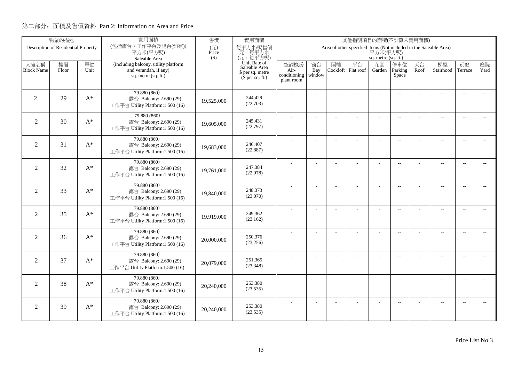|                           | 物業的描述 | 實用面積<br>售價<br>實用面積<br>其他指明項目的面積(不計算入實用面積)<br>(包括露台,工作平台及陽台(如有))<br>Description of Residential Property |                                                                                                                                                      |            |                                              |                      |           |    |                          |                     |                          |            |                          |                          |                          |
|---------------------------|-------|--------------------------------------------------------------------------------------------------------|------------------------------------------------------------------------------------------------------------------------------------------------------|------------|----------------------------------------------|----------------------|-----------|----|--------------------------|---------------------|--------------------------|------------|--------------------------|--------------------------|--------------------------|
|                           |       |                                                                                                        | 每平方米/呎售價<br>$(\overrightarrow{\pi})$<br>Area of other specified items (Not included in the Saleable Area)<br>平方米(平方呎)<br>元,每平方米<br>平方米(平方呎)<br>Price |            |                                              |                      |           |    |                          |                     |                          |            |                          |                          |                          |
|                           |       |                                                                                                        | Saleable Area                                                                                                                                        | $($ \$)    | (元,每平方呎)                                     |                      |           |    |                          | sq. metre (sq. ft.) |                          |            |                          |                          |                          |
| 大廈名稱<br><b>Block Name</b> | 樓層    | 單位<br>Unit                                                                                             | (including balcony, utility platform<br>and verandah, if any)                                                                                        |            | Unit Rate of<br>Saleable Area                | 空調機房                 | 窗台<br>Bay | 閣樓 | 平台<br>Cockloft Flat roof | 花園                  | 停車位<br>Parking           | 天台<br>Roof | 梯屋<br>Stairhood          | 前庭<br>Terrace            | 庭院<br>Yard               |
|                           | Floor |                                                                                                        | sq. metre (sq. ft.)                                                                                                                                  |            | \$ per sq. metre<br>$(\bar{\S}$ per sq. ft.) | Air-<br>conditioning | window    |    |                          | Garden              | Space                    |            |                          |                          |                          |
|                           |       |                                                                                                        |                                                                                                                                                      |            |                                              | plant room           |           |    |                          |                     |                          |            |                          |                          |                          |
|                           |       |                                                                                                        | 79.880 (860)                                                                                                                                         |            |                                              |                      |           |    |                          |                     | $\overline{\phantom{a}}$ |            | $\overline{a}$           |                          |                          |
| $\overline{2}$            | 29    | $A^*$                                                                                                  | 露台 Balcony: 2.690 (29)                                                                                                                               | 19,525,000 | 244,429<br>(22,703)                          |                      |           |    |                          |                     |                          |            |                          |                          |                          |
|                           |       |                                                                                                        | 工作平台 Utility Platform:1.500 (16)                                                                                                                     |            |                                              |                      |           |    |                          |                     |                          |            |                          |                          |                          |
| 2                         | 30    | $A^*$                                                                                                  | 79.880 (860)<br>露台 Balcony: 2.690 (29)                                                                                                               |            | 245,431                                      |                      |           |    |                          |                     | $\overline{\phantom{a}}$ |            | $\overline{\phantom{a}}$ | $\sim$                   |                          |
|                           |       |                                                                                                        | 工作平台 Utility Platform:1.500 (16)                                                                                                                     | 19,605,000 | (22, 797)                                    |                      |           |    |                          |                     |                          |            |                          |                          |                          |
|                           |       |                                                                                                        | 79.880 (860)                                                                                                                                         |            |                                              |                      | ÷,        |    | ÷.                       | ÷,                  | $\overline{a}$           |            | $\overline{a}$           | $\overline{\phantom{a}}$ | $-$                      |
| $\overline{2}$            | 31    | $A^*$                                                                                                  | 露台 Balcony: 2.690 (29)                                                                                                                               | 19,683,000 | 246,407                                      |                      |           |    |                          |                     |                          |            |                          |                          |                          |
|                           |       |                                                                                                        | 工作平台 Utility Platform:1.500 (16)                                                                                                                     |            | (22, 887)                                    |                      |           |    |                          |                     |                          |            |                          |                          |                          |
|                           |       |                                                                                                        | 79.880 (860)                                                                                                                                         |            |                                              |                      |           |    |                          | L,                  | $\overline{\phantom{a}}$ |            | $\overline{\phantom{a}}$ | $\overline{\phantom{a}}$ | $\overline{\phantom{a}}$ |
| $\overline{2}$            | 32    | $A^*$                                                                                                  | 露台 Balcony: 2.690 (29)<br>工作平台 Utility Platform:1.500 (16)                                                                                           | 19,761,000 | 247,384<br>(22,978)                          |                      |           |    |                          |                     |                          |            |                          |                          |                          |
|                           |       |                                                                                                        |                                                                                                                                                      |            |                                              |                      |           |    |                          |                     |                          |            |                          |                          |                          |
| 2                         | 33    | $A^*$                                                                                                  | 79.880 (860)<br>露台 Balcony: 2.690 (29)                                                                                                               |            | 248,373                                      |                      |           |    |                          | $\overline{a}$      | $\overline{\phantom{a}}$ |            | $\overline{a}$           | $\overline{\phantom{a}}$ | $\overline{\phantom{a}}$ |
|                           |       |                                                                                                        | 工作平台 Utility Platform:1.500 (16)                                                                                                                     | 19,840,000 | (23,070)                                     |                      |           |    |                          |                     |                          |            |                          |                          |                          |
|                           |       |                                                                                                        | 79.880 (860)                                                                                                                                         |            |                                              |                      | ÷,        |    |                          | ÷,                  | $\overline{a}$           |            | $\overline{a}$           | $\sim$                   | $\overline{\phantom{a}}$ |
| $\overline{2}$            | 35    | $A^*$                                                                                                  | 露台 Balcony: 2.690 (29)                                                                                                                               | 19,919,000 | 249,362<br>(23,162)                          |                      |           |    |                          |                     |                          |            |                          |                          |                          |
|                           |       |                                                                                                        | 工作平台 Utility Platform:1.500 (16)                                                                                                                     |            |                                              |                      |           |    |                          |                     |                          |            |                          |                          |                          |
| $\overline{2}$            | 36    | $A^*$                                                                                                  | 79.880 (860)                                                                                                                                         |            | 250,376                                      |                      | Ĭ.        |    |                          | ÷,                  | $\overline{a}$           |            | $\overline{a}$           | $\overline{a}$           | $\overline{a}$           |
|                           |       |                                                                                                        | 露台 Balcony: 2.690 (29)<br>工作平台 Utility Platform:1.500 (16)                                                                                           | 20,000,000 | (23, 256)                                    |                      |           |    |                          |                     |                          |            |                          |                          |                          |
|                           |       |                                                                                                        | 79.880 (860)                                                                                                                                         |            |                                              |                      |           |    |                          |                     |                          |            |                          |                          |                          |
| $\overline{2}$            | 37    | $A^*$                                                                                                  | 露台 Balcony: 2.690 (29)                                                                                                                               | 20,079,000 | 251,365                                      |                      | ÷,        |    | ÷.                       | ÷,                  | $\sim$                   |            | $\overline{a}$           | $\sim$                   | $\overline{\phantom{a}}$ |
|                           |       |                                                                                                        | 工作平台 Utility Platform:1.500 (16)                                                                                                                     |            | (23, 348)                                    |                      |           |    |                          |                     |                          |            |                          |                          |                          |
|                           |       |                                                                                                        | 79.880 (860)                                                                                                                                         |            |                                              |                      | ÷.        |    | ÷.                       | ÷                   | $\sim$                   |            | $\overline{a}$           | $\sim$                   | $\overline{\phantom{a}}$ |
| $\overline{2}$            | 38    | $A^*$                                                                                                  | 露台 Balcony: 2.690 (29)<br>工作平台 Utility Platform:1.500 (16)                                                                                           | 20,240,000 | 253,380<br>(23, 535)                         |                      |           |    |                          |                     |                          |            |                          |                          |                          |
|                           |       |                                                                                                        |                                                                                                                                                      |            |                                              |                      |           |    |                          |                     |                          |            |                          |                          |                          |
| 2                         | 39    | $A^*$                                                                                                  | 79.880 (860)<br>露台 Balcony: 2.690 (29)                                                                                                               |            | 253,380                                      |                      |           |    |                          |                     | $\sim$ $\sim$            |            | $\overline{\phantom{a}}$ | $\sim$                   | $\sim$                   |
|                           |       |                                                                                                        | 工作平台 Utility Platform:1.500 (16)                                                                                                                     | 20,240,000 | (23, 535)                                    |                      |           |    |                          |                     |                          |            |                          |                          |                          |
|                           |       |                                                                                                        |                                                                                                                                                      |            |                                              |                      |           |    |                          |                     |                          |            |                          |                          |                          |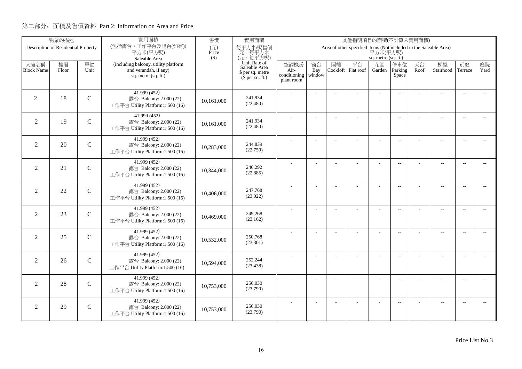|                   | 物業的描述                               |               | 實用面積                                                                                                                                                                                                                 | 售價         | 實用面積<br>其他指明項目的面積(不計算入實用面積)                  |                      |                          |          |           |                          |                          |      |                          |                          |                          |
|-------------------|-------------------------------------|---------------|----------------------------------------------------------------------------------------------------------------------------------------------------------------------------------------------------------------------|------------|----------------------------------------------|----------------------|--------------------------|----------|-----------|--------------------------|--------------------------|------|--------------------------|--------------------------|--------------------------|
|                   | Description of Residential Property |               | (包括露台,工作平台及陽台(如有))<br>每平方米/呎售價<br>Area of other specified items (Not included in the Saleable Area)<br>(元)<br>平方米(平方呎)<br>平方米(平方呎)<br>元,每平方米<br>Price<br>(元,每平方呎)<br>$($ \$)<br>sq. metre (sq. ft.)<br>Saleable Area |            |                                              |                      |                          |          |           |                          |                          |      |                          |                          |                          |
|                   |                                     |               |                                                                                                                                                                                                                      |            |                                              |                      |                          |          |           |                          |                          |      |                          |                          |                          |
| 大廈名稱              | 樓層                                  | 單位            | (including balcony, utility platform                                                                                                                                                                                 |            | Unit Rate of<br>Saleable Area                | 空調機房                 | 窗台                       | 閣樓       | 平台        | 花園                       | 停車位                      | 天台   | 梯屋                       | 前庭                       | 庭院<br>Yard               |
| <b>Block Name</b> | Floor                               | Unit          | and verandah, if any)<br>sq. metre (sq. ft.)                                                                                                                                                                         |            | \$ per sq. metre<br>$(\bar{\S}$ per sq. ft.) | Air-<br>conditioning | Bay<br>window            | Cockloft | Flat roof | Garden                   | Parking<br>Space         | Roof | Stairhood                | Terrace                  |                          |
|                   |                                     |               |                                                                                                                                                                                                                      |            |                                              | plant room           |                          |          |           |                          |                          |      |                          |                          |                          |
|                   |                                     |               | 41.999 (452)                                                                                                                                                                                                         |            |                                              |                      |                          |          |           |                          | $\overline{\phantom{a}}$ |      | $\overline{\phantom{a}}$ | $\overline{\phantom{a}}$ |                          |
| 2                 | 18                                  | $\mathcal{C}$ | 露台 Balcony: 2.000 (22)                                                                                                                                                                                               | 10,161,000 | 241.934<br>(22, 480)                         |                      |                          |          |           |                          |                          |      |                          |                          |                          |
|                   |                                     |               | 工作平台 Utility Platform:1.500 (16)                                                                                                                                                                                     |            |                                              |                      |                          |          |           |                          |                          |      |                          |                          |                          |
| $\overline{2}$    | 19                                  | $\mathcal{C}$ | 41.999 (452)                                                                                                                                                                                                         |            | 241,934                                      |                      |                          |          | ÷.        | ÷                        | $\overline{\phantom{a}}$ |      | $\overline{\phantom{a}}$ | $\sim$                   | $\sim$                   |
|                   |                                     |               | 露台 Balcony: 2.000 (22)<br>工作平台 Utility Platform:1.500 (16)                                                                                                                                                           | 10,161,000 | (22, 480)                                    |                      |                          |          |           |                          |                          |      |                          |                          |                          |
|                   |                                     |               | 41.999 (452)                                                                                                                                                                                                         |            |                                              |                      |                          |          |           |                          |                          |      |                          |                          |                          |
| $\overline{2}$    | 20                                  | $\mathcal{C}$ | 露台 Balcony: 2.000 (22)                                                                                                                                                                                               | 10,283,000 | 244,839                                      |                      |                          |          |           | L,                       | $\overline{\phantom{a}}$ |      | $\overline{\phantom{a}}$ | $\sim$                   | $\overline{a}$           |
|                   |                                     |               | 工作平台 Utility Platform:1.500 (16)                                                                                                                                                                                     |            | (22,750)                                     |                      |                          |          |           |                          |                          |      |                          |                          |                          |
|                   |                                     |               | 41.999 (452)                                                                                                                                                                                                         |            |                                              |                      |                          |          |           | L,                       | $\overline{\phantom{a}}$ |      | $\overline{\phantom{a}}$ | $\overline{\phantom{a}}$ | $\overline{\phantom{a}}$ |
| $\overline{2}$    | 21                                  | $\mathcal{C}$ | 露台 Balcony: 2.000 (22)                                                                                                                                                                                               | 10,344,000 | 246,292<br>(22, 885)                         |                      |                          |          |           |                          |                          |      |                          |                          |                          |
|                   |                                     |               | 工作平台 Utility Platform:1.500 (16)                                                                                                                                                                                     |            |                                              |                      |                          |          |           |                          |                          |      |                          |                          |                          |
| 2                 | 22                                  | $\mathcal{C}$ | 41.999 (452)<br>露台 Balcony: 2.000 (22)                                                                                                                                                                               |            | 247,768                                      |                      |                          |          |           | ÷.                       | $\sim$ $\sim$            |      | $\overline{a}$           | $\sim$                   | $\sim$                   |
|                   |                                     |               | 工作平台 Utility Platform:1.500 (16)                                                                                                                                                                                     | 10,406,000 | (23,022)                                     |                      |                          |          |           |                          |                          |      |                          |                          |                          |
|                   |                                     |               | 41.999(452)                                                                                                                                                                                                          |            |                                              |                      |                          |          |           |                          |                          |      |                          |                          |                          |
| $\overline{2}$    | 23                                  | $\mathcal{C}$ | 露台 Balcony: 2.000 (22)                                                                                                                                                                                               | 10,469,000 | 249,268                                      |                      | $\overline{\phantom{a}}$ |          |           | ÷,                       | $\overline{\phantom{m}}$ |      | $\overline{\phantom{a}}$ | $\overline{\phantom{a}}$ | $- -$                    |
|                   |                                     |               | 工作平台 Utility Platform:1.500 (16)                                                                                                                                                                                     |            | (23,162)                                     |                      |                          |          |           |                          |                          |      |                          |                          |                          |
|                   |                                     |               | 41.999 (452)                                                                                                                                                                                                         |            |                                              |                      | ÷.                       |          |           | L,                       | $\overline{\phantom{a}}$ |      | $\overline{a}$           | $\overline{\phantom{a}}$ | $- -$                    |
| $\overline{2}$    | 25                                  | $\mathcal{C}$ | 露台 Balcony: 2.000 (22)                                                                                                                                                                                               | 10,532,000 | 250,768<br>(23,301)                          |                      |                          |          |           |                          |                          |      |                          |                          |                          |
|                   |                                     |               | 工作平台 Utility Platform:1.500 (16)                                                                                                                                                                                     |            |                                              |                      |                          |          |           |                          |                          |      |                          |                          |                          |
| 2                 | 26                                  | $\mathcal{C}$ | 41.999(452)<br>露台 Balcony: 2.000 (22)                                                                                                                                                                                |            | 252,244                                      |                      | Ĭ.                       |          | L         | $\overline{\phantom{a}}$ | $\overline{a}$           |      | $\overline{\phantom{a}}$ | $\sim$                   | $\overline{a}$           |
|                   |                                     |               | 工作平台 Utility Platform:1.500 (16)                                                                                                                                                                                     | 10,594,000 | (23, 438)                                    |                      |                          |          |           |                          |                          |      |                          |                          |                          |
|                   |                                     |               | 41.999 (452)                                                                                                                                                                                                         |            |                                              |                      |                          |          |           |                          |                          |      |                          |                          |                          |
| $\overline{2}$    | 28                                  | $\mathcal{C}$ | 露台 Balcony: 2.000 (22)                                                                                                                                                                                               | 10,753,000 | 256,030                                      |                      |                          |          | L,        |                          | $-$                      |      | $\overline{\phantom{a}}$ | $\sim$                   | $\overline{\phantom{a}}$ |
|                   |                                     |               | 工作平台 Utility Platform:1.500 (16)                                                                                                                                                                                     |            | (23,790)                                     |                      |                          |          |           |                          |                          |      |                          |                          |                          |
|                   |                                     |               | 41.999 (452)                                                                                                                                                                                                         |            |                                              |                      |                          |          |           |                          | $\overline{\phantom{m}}$ |      | $\overline{\phantom{a}}$ | $\sim$                   | $\sim$                   |
| 2                 | 29                                  | $\mathcal{C}$ | 露台 Balcony: 2.000 (22)<br>工作平台 Utility Platform:1.500 (16)                                                                                                                                                           | 10.753,000 | 256,030<br>(23,790)                          |                      |                          |          |           |                          |                          |      |                          |                          |                          |
|                   |                                     |               |                                                                                                                                                                                                                      |            |                                              |                      |                          |          |           |                          |                          |      |                          |                          |                          |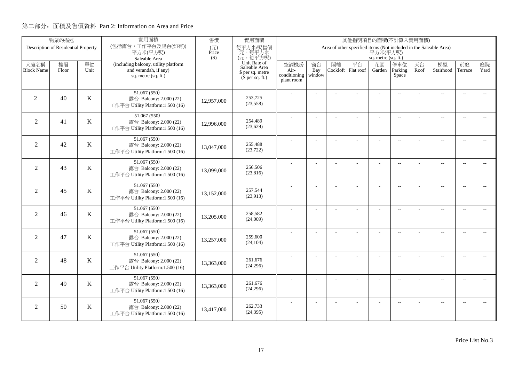|                           | 物業的描述                               |            | 實用面積                                                          | 售價           | 實用面積<br>其他指明項目的面積(不計算入實用面積)<br>Area of other specified items (Not included in the Saleable Area) |              |               |                |                 |                          |                          |            |                          |                          |                             |
|---------------------------|-------------------------------------|------------|---------------------------------------------------------------|--------------|--------------------------------------------------------------------------------------------------|--------------|---------------|----------------|-----------------|--------------------------|--------------------------|------------|--------------------------|--------------------------|-----------------------------|
|                           | Description of Residential Property |            | (包括露台,工作平台及陽台(如有))<br>平方米(平方呎)                                | (元)<br>Price | 每平方米/呎售價<br>元,每平方米                                                                               |              |               |                |                 | 平方米(平方呎)                 |                          |            |                          |                          |                             |
|                           |                                     |            | Saleable Area                                                 | $($ \$)      | (元,每平方呎)                                                                                         |              |               |                |                 | sq. metre (sq. ft.)      |                          |            |                          |                          |                             |
| 大廈名稱<br><b>Block Name</b> | 樓層<br>Floor                         | 單位<br>Unit | (including balcony, utility platform<br>and verandah, if any) |              | Unit Rate of<br>Saleable Area                                                                    | 空調機房<br>Air- | 窗台            | 閣樓<br>Cockloft | 平台<br>Flat roof | 花園                       | 停車位<br>Parking           | 天台<br>Roof | 梯屋<br>Stairhood          | 前庭<br>Terrace            | 庭院<br>Yard                  |
|                           |                                     |            | sq. metre (sq. ft.)                                           |              | \$ per sq. metre<br>$(\bar{\S}$ per sq. ft.)                                                     | conditioning | Bay<br>window |                |                 | Garden                   | Space                    |            |                          |                          |                             |
|                           |                                     |            |                                                               |              |                                                                                                  | plant room   |               |                |                 |                          |                          |            |                          |                          |                             |
|                           |                                     |            | 51.067(550)                                                   |              |                                                                                                  |              |               |                |                 |                          | $\overline{\phantom{a}}$ |            | $\overline{\phantom{a}}$ | $\overline{\phantom{a}}$ |                             |
| 2                         | 40                                  | K          | 露台 Balcony: 2.000 (22)                                        | 12,957,000   | 253,725<br>(23, 558)                                                                             |              |               |                |                 |                          |                          |            |                          |                          |                             |
|                           |                                     |            | 工作平台 Utility Platform:1.500 (16)                              |              |                                                                                                  |              |               |                |                 |                          |                          |            |                          |                          |                             |
| $\overline{2}$            | 41                                  | K          | 51.067 (550)<br>露台 Balcony: 2.000 (22)                        |              | 254,489                                                                                          |              |               |                | ÷.              | ÷                        | $\overline{\phantom{a}}$ |            | $\overline{a}$           | $\sim$                   | $\sim$                      |
|                           |                                     |            | 工作平台 Utility Platform:1.500 (16)                              | 12,996,000   | (23,629)                                                                                         |              |               |                |                 |                          |                          |            |                          |                          |                             |
|                           |                                     |            | 51.067 (550)                                                  |              |                                                                                                  |              | Ĭ.            |                |                 | L,                       | $\overline{\phantom{a}}$ |            | $\overline{\phantom{a}}$ | $\sim$                   |                             |
| $\overline{2}$            | 42                                  | K          | 露台 Balcony: 2.000 (22)                                        | 13,047,000   | 255,488                                                                                          |              |               |                |                 |                          |                          |            |                          |                          | $\overline{a}$              |
|                           |                                     |            | 工作平台 Utility Platform:1.500 (16)                              |              | (23,722)                                                                                         |              |               |                |                 |                          |                          |            |                          |                          |                             |
|                           |                                     |            | 51.067 (550)                                                  |              |                                                                                                  |              |               |                |                 | L,                       | $\overline{\phantom{a}}$ |            | $\overline{\phantom{a}}$ | $\overline{\phantom{a}}$ | $\overline{\phantom{a}}$    |
| $\overline{2}$            | 43                                  | $\bf K$    | 露台 Balcony: 2.000 (22)<br>工作平台 Utility Platform:1.500 (16)    | 13,099,000   | 256,506<br>(23,816)                                                                              |              |               |                |                 |                          |                          |            |                          |                          |                             |
|                           |                                     |            |                                                               |              |                                                                                                  |              |               |                |                 |                          |                          |            |                          |                          |                             |
| 2                         | 45                                  | K          | 51.067 (550)<br>露台 Balcony: 2.000 (22)                        |              | 257.544                                                                                          |              |               |                |                 | ÷.                       | $\sim$ $\sim$            |            | $\overline{a}$           | $\sim$                   | $\sim$                      |
|                           |                                     |            | 工作平台 Utility Platform:1.500 (16)                              | 13,152,000   | (23,913)                                                                                         |              |               |                |                 |                          |                          |            |                          |                          |                             |
|                           |                                     |            | 51.067(550)                                                   |              |                                                                                                  |              | ÷,            |                | L,              | ÷,                       | $\overline{\phantom{m}}$ |            | $\overline{\phantom{a}}$ | $\overline{\phantom{a}}$ | $- -$                       |
| $\overline{2}$            | 46                                  | K          | 露台 Balcony: 2.000 (22)                                        | 13,205,000   | 258,582                                                                                          |              |               |                |                 |                          |                          |            |                          |                          |                             |
|                           |                                     |            | 工作平台 Utility Platform:1.500 (16)                              |              | (24,009)                                                                                         |              |               |                |                 |                          |                          |            |                          |                          |                             |
|                           |                                     |            | 51.067 (550)                                                  |              | 259,600                                                                                          |              | ÷.            |                |                 | L,                       | $\overline{\phantom{a}}$ |            | $\overline{a}$           | $\overline{\phantom{a}}$ | $- -$                       |
| $\overline{2}$            | 47                                  | K          | 露台 Balcony: 2.000 (22)<br>工作平台 Utility Platform:1.500 (16)    | 13,257,000   | (24, 104)                                                                                        |              |               |                |                 |                          |                          |            |                          |                          |                             |
|                           |                                     |            | 51.067(550)                                                   |              |                                                                                                  |              |               |                |                 |                          |                          |            |                          |                          |                             |
| 2                         | 48                                  | K          | 露台 Balcony: 2.000 (22)                                        | 13,363,000   | 261,676                                                                                          |              | J.            |                | L               | $\overline{\phantom{a}}$ | $\overline{a}$           |            | $\overline{\phantom{a}}$ | $\sim$                   | $\overline{a}$              |
|                           |                                     |            | 工作平台 Utility Platform:1.500 (16)                              |              | (24,296)                                                                                         |              |               |                |                 |                          |                          |            |                          |                          |                             |
|                           |                                     |            | 51.067 (550)                                                  |              |                                                                                                  |              |               |                | L,              |                          | $-$                      |            | $\overline{\phantom{a}}$ | $\sim$                   | $\overline{\phantom{a}}$    |
| $\overline{2}$            | 49                                  | K          | 露台 Balcony: 2.000 (22)                                        | 13,363,000   | 261,676<br>(24,296)                                                                              |              |               |                |                 |                          |                          |            |                          |                          |                             |
|                           |                                     |            | 工作平台 Utility Platform:1.500 (16)                              |              |                                                                                                  |              |               |                |                 |                          |                          |            |                          |                          |                             |
| 2                         | 50                                  | K          | 51.067 (550)                                                  |              | 262,733                                                                                          |              |               |                |                 |                          | $\sim$ $\sim$            |            | $\overline{\phantom{a}}$ | $\sim$                   | $\mathcal{L}_{\mathcal{F}}$ |
|                           |                                     |            | 露台 Balcony: 2.000 (22)<br>工作平台 Utility Platform:1.500 (16)    | 13,417,000   | (24, 395)                                                                                        |              |               |                |                 |                          |                          |            |                          |                          |                             |
|                           |                                     |            |                                                               |              |                                                                                                  |              |               |                |                 |                          |                          |            |                          |                          |                             |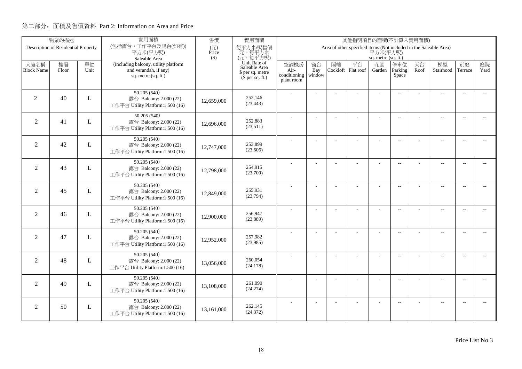|                   | 物業的描述                               |      | 實用面積                                                       | 售價           | 實用面積<br>其他指明項目的面積(不計算入實用面積)<br>Area of other specified items (Not included in the Saleable Area) |                      |                          |          |           |                          |                          |      |                          |                          |                             |
|-------------------|-------------------------------------|------|------------------------------------------------------------|--------------|--------------------------------------------------------------------------------------------------|----------------------|--------------------------|----------|-----------|--------------------------|--------------------------|------|--------------------------|--------------------------|-----------------------------|
|                   | Description of Residential Property |      | (包括露台,工作平台及陽台(如有))<br>平方米(平方呎)                             | (元)<br>Price | 每平方米/呎售價<br>元,每平方米                                                                               |                      |                          |          |           | 平方米(平方呎)                 |                          |      |                          |                          |                             |
|                   |                                     |      | Saleable Area                                              | $($ \$)      | (元,每平方呎)                                                                                         |                      |                          |          |           | sq. metre (sq. ft.)      |                          |      |                          |                          |                             |
| 大廈名稱              | 樓層                                  | 單位   | (including balcony, utility platform                       |              | Unit Rate of<br>Saleable Area                                                                    | 空調機房                 | 窗台                       | 閣樓       | 平台        | 花園                       | 停車位                      | 天台   | 梯屋                       | 前庭                       | 庭院                          |
| <b>Block Name</b> | Floor                               | Unit | and verandah, if any)<br>sq. metre (sq. ft.)               |              | \$ per sq. metre                                                                                 | Air-<br>conditioning | Bay<br>window            | Cockloft | Flat roof | Garden                   | Parking<br>Space         | Roof | Stairhood                | Terrace                  | Yard                        |
|                   |                                     |      |                                                            |              | $(\bar{\S}$ per sq. ft.)                                                                         | plant room           |                          |          |           |                          |                          |      |                          |                          |                             |
|                   |                                     |      | 50.205(540)                                                |              |                                                                                                  |                      |                          |          |           |                          | $\overline{\phantom{a}}$ |      | $\overline{a}$           | $\overline{\phantom{a}}$ |                             |
| 2                 | 40                                  | L    | 露台 Balcony: 2.000 (22)                                     | 12,659,000   | 252,146                                                                                          |                      |                          |          |           |                          |                          |      |                          |                          |                             |
|                   |                                     |      | 工作平台 Utility Platform:1.500 (16)                           |              | (23, 443)                                                                                        |                      |                          |          |           |                          |                          |      |                          |                          |                             |
|                   |                                     |      | 50.205 (540)                                               |              |                                                                                                  |                      |                          |          | ÷.        | ÷                        | $\overline{\phantom{a}}$ |      | $\overline{a}$           | $\sim$                   | $\sim$                      |
| $\overline{2}$    | 41                                  | L    | 露台 Balcony: 2.000 (22)<br>工作平台 Utility Platform:1.500 (16) | 12,696,000   | 252,883<br>(23,511)                                                                              |                      |                          |          |           |                          |                          |      |                          |                          |                             |
|                   |                                     |      |                                                            |              |                                                                                                  |                      |                          |          |           |                          |                          |      |                          |                          |                             |
| $\overline{2}$    | 42                                  | L    | 50.205 (540)<br>露台 Balcony: 2.000 (22)                     |              | 253,899                                                                                          |                      | J.                       |          |           | L,                       | $\overline{\phantom{a}}$ |      | $\overline{\phantom{a}}$ | $\sim$                   | $\overline{\phantom{a}}$    |
|                   |                                     |      | 工作平台 Utility Platform:1.500 (16)                           | 12,747,000   | (23,606)                                                                                         |                      |                          |          |           |                          |                          |      |                          |                          |                             |
|                   |                                     |      | 50.205 (540)                                               |              |                                                                                                  |                      |                          |          |           |                          |                          |      |                          |                          |                             |
| 2                 | 43                                  | L    | 露台 Balcony: 2.000 (22)                                     |              | 254,915                                                                                          |                      |                          |          |           | L,                       | $\overline{\phantom{a}}$ |      | $\overline{\phantom{a}}$ | $\overline{\phantom{a}}$ | $\overline{\phantom{a}}$    |
|                   |                                     |      | 工作平台 Utility Platform:1.500 (16)                           | 12,798,000   | (23,700)                                                                                         |                      |                          |          |           |                          |                          |      |                          |                          |                             |
|                   |                                     |      | 50.205(540)                                                |              |                                                                                                  |                      |                          |          |           | ÷.                       | $\sim$ $\sim$            |      | $\overline{a}$           | $\sim$                   | $\sim$                      |
| 2                 | 45                                  | L    | 露台 Balcony: 2.000 (22)                                     | 12,849,000   | 255.931                                                                                          |                      |                          |          |           |                          |                          |      |                          |                          |                             |
|                   |                                     |      | 工作平台 Utility Platform:1.500 (16)                           |              | (23,794)                                                                                         |                      |                          |          |           |                          |                          |      |                          |                          |                             |
|                   |                                     |      | 50.205(540)                                                |              |                                                                                                  |                      | $\overline{\phantom{a}}$ |          | L,        | ÷,                       | $\overline{\phantom{m}}$ |      | $\overline{\phantom{a}}$ | $\overline{\phantom{a}}$ | $- -$                       |
| $\overline{2}$    | 46                                  | L    | 露台 Balcony: 2.000 (22)<br>工作平台 Utility Platform:1.500 (16) | 12,900,000   | 256,947<br>(23,889)                                                                              |                      |                          |          |           |                          |                          |      |                          |                          |                             |
|                   |                                     |      |                                                            |              |                                                                                                  |                      |                          |          |           |                          |                          |      |                          |                          |                             |
| $\overline{2}$    | 47                                  | L    | 50.205(540)<br>露台 Balcony: 2.000 (22)                      |              | 257,982                                                                                          |                      | ÷.                       |          |           | L,                       | $\overline{\phantom{a}}$ |      | $\overline{a}$           | $\overline{\phantom{a}}$ | $- -$                       |
|                   |                                     |      | 工作平台 Utility Platform:1.500 (16)                           | 12,952,000   | (23,985)                                                                                         |                      |                          |          |           |                          |                          |      |                          |                          |                             |
|                   |                                     |      | 50.205(540)                                                |              |                                                                                                  |                      |                          |          |           |                          |                          |      |                          |                          |                             |
| 2                 | 48                                  | L    | 露台 Balcony: 2.000 (22)                                     | 13,056,000   | 260,054                                                                                          |                      | J.                       |          | L         | $\overline{\phantom{a}}$ | $\overline{a}$           |      | $\overline{\phantom{a}}$ | $\sim$                   | $\overline{\phantom{a}}$    |
|                   |                                     |      | 工作平台 Utility Platform:1.500 (16)                           |              | (24, 178)                                                                                        |                      |                          |          |           |                          |                          |      |                          |                          |                             |
|                   |                                     |      | 50.205(540)                                                |              |                                                                                                  |                      |                          |          | L,        |                          | $-$                      |      | $\overline{\phantom{a}}$ | $\sim$                   | $\overline{\phantom{a}}$    |
| $\overline{2}$    | 49                                  | L    | 露台 Balcony: 2.000 (22)                                     | 13,108,000   | 261,090<br>(24, 274)                                                                             |                      |                          |          |           |                          |                          |      |                          |                          |                             |
|                   |                                     |      | 工作平台 Utility Platform:1.500 (16)                           |              |                                                                                                  |                      |                          |          |           |                          |                          |      |                          |                          |                             |
|                   |                                     |      | 50.205 (540)                                               |              |                                                                                                  |                      |                          |          |           |                          | $\overline{\phantom{m}}$ |      | $\overline{\phantom{a}}$ | $\sim$                   | $\mathcal{L}_{\mathcal{F}}$ |
| 2                 | 50                                  | L    | 露台 Balcony: 2.000 (22)<br>工作平台 Utility Platform:1.500 (16) | 13.161.000   | 262,145<br>(24, 372)                                                                             |                      |                          |          |           |                          |                          |      |                          |                          |                             |
|                   |                                     |      |                                                            |              |                                                                                                  |                      |                          |          |           |                          |                          |      |                          |                          |                             |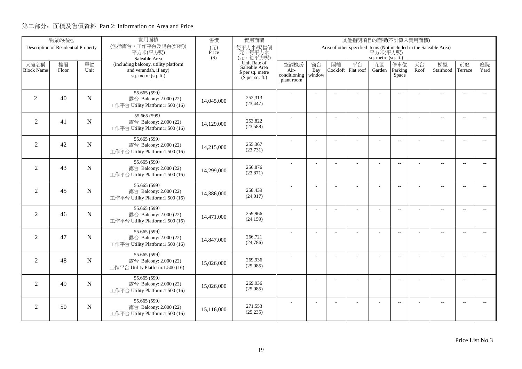|                           | 物業的描述                               |             | 實用面積                                                          | 售價           | 實用面積<br>其他指明項目的面積(不計算入實用面積)<br>Area of other specified items (Not included in the Saleable Area) |                      |                |                |           |                     |                          |            |                          |                          |                             |
|---------------------------|-------------------------------------|-------------|---------------------------------------------------------------|--------------|--------------------------------------------------------------------------------------------------|----------------------|----------------|----------------|-----------|---------------------|--------------------------|------------|--------------------------|--------------------------|-----------------------------|
|                           | Description of Residential Property |             | (包括露台,工作平台及陽台(如有))<br>平方米(平方呎)                                | (元)<br>Price | 每平方米/呎售價<br>元,每平方米                                                                               |                      |                |                |           | 平方米(平方呎)            |                          |            |                          |                          |                             |
|                           |                                     |             | Saleable Area                                                 | $($ \$)      | (元,每平方呎)                                                                                         |                      |                |                |           | sq. metre (sq. ft.) |                          |            |                          |                          |                             |
| 大廈名稱<br><b>Block Name</b> | 樓層                                  | 單位<br>Unit  | (including balcony, utility platform<br>and verandah, if any) |              | Unit Rate of<br>Saleable Area                                                                    | 空調機房                 | 窗台             | 閣樓<br>Cockloft | 平台        | 花園                  | 停車位<br>Parking           | 天台<br>Roof | 梯屋<br>Stairhood          | 前庭                       | 庭院<br>Yard                  |
|                           | Floor                               |             | sq. metre (sq. ft.)                                           |              | \$ per sq. metre<br>$(\bar{\S}$ per sq. ft.)                                                     | Air-<br>conditioning | Bay<br>window  |                | Flat roof | Garden              | Space                    |            |                          | Terrace                  |                             |
|                           |                                     |             |                                                               |              |                                                                                                  | plant room           |                |                |           |                     |                          |            |                          |                          |                             |
|                           |                                     |             | 55.665(599)                                                   |              |                                                                                                  |                      |                |                |           |                     | $\overline{\phantom{a}}$ |            | $\overline{\phantom{a}}$ | $\overline{\phantom{a}}$ |                             |
| 2                         | 40                                  | N           | 露台 Balcony: 2.000 (22)                                        | 14,045,000   | 252,313                                                                                          |                      |                |                |           |                     |                          |            |                          |                          |                             |
|                           |                                     |             | 工作平台 Utility Platform:1.500 (16)                              |              | (23, 447)                                                                                        |                      |                |                |           |                     |                          |            |                          |                          |                             |
|                           |                                     |             | 55.665 (599)                                                  |              |                                                                                                  |                      |                |                | ÷.        | ÷                   | $\overline{\phantom{a}}$ |            | $\overline{a}$           | $\sim$                   | $\sim$                      |
| $\overline{2}$            | 41                                  | $\mathbf N$ | 露台 Balcony: 2.000 (22)<br>工作平台 Utility Platform:1.500 (16)    | 14,129,000   | 253,822<br>(23,588)                                                                              |                      |                |                |           |                     |                          |            |                          |                          |                             |
|                           |                                     |             |                                                               |              |                                                                                                  |                      |                |                |           |                     |                          |            |                          |                          |                             |
| $\overline{2}$            | 42                                  | N           | 55.665 (599)<br>露台 Balcony: 2.000 (22)                        |              | 255,367                                                                                          |                      | J.             |                |           | L,                  | $\overline{\phantom{a}}$ |            | $\overline{\phantom{a}}$ | $\sim$                   | $\overline{\phantom{a}}$    |
|                           |                                     |             | 工作平台 Utility Platform:1.500 (16)                              | 14,215,000   | (23, 731)                                                                                        |                      |                |                |           |                     |                          |            |                          |                          |                             |
|                           |                                     |             | 55.665 (599)                                                  |              |                                                                                                  |                      |                |                |           | L,                  | $\overline{\phantom{a}}$ |            | $\overline{\phantom{a}}$ | $\overline{\phantom{a}}$ | $\overline{\phantom{a}}$    |
| 2                         | 43                                  | $\mathbf N$ | 露台 Balcony: 2.000 (22)                                        | 14,299,000   | 256,876                                                                                          |                      |                |                |           |                     |                          |            |                          |                          |                             |
|                           |                                     |             | 工作平台 Utility Platform:1.500 (16)                              |              | (23, 871)                                                                                        |                      |                |                |           |                     |                          |            |                          |                          |                             |
|                           |                                     |             | 55.665 (599)                                                  |              |                                                                                                  |                      |                |                |           | ÷.                  | $\sim$ $\sim$            |            | $\overline{a}$           | $\sim$                   | $\sim$                      |
| 2                         | 45                                  | N           | 露台 Balcony: 2.000 (22)<br>工作平台 Utility Platform:1.500 (16)    | 14,386,000   | 258,439<br>(24, 017)                                                                             |                      |                |                |           |                     |                          |            |                          |                          |                             |
|                           |                                     |             |                                                               |              |                                                                                                  |                      |                |                |           |                     |                          |            |                          |                          |                             |
| $\overline{2}$            | 46                                  | N           | 55.665(599)<br>露台 Balcony: 2.000 (22)                         |              | 259,966                                                                                          |                      | $\overline{a}$ |                | L,        | ÷,                  | $\overline{\phantom{m}}$ |            | $\overline{\phantom{a}}$ | $\overline{\phantom{a}}$ | $- -$                       |
|                           |                                     |             | 工作平台 Utility Platform:1.500 (16)                              | 14,471,000   | (24, 159)                                                                                        |                      |                |                |           |                     |                          |            |                          |                          |                             |
|                           |                                     |             | 55.665 (599)                                                  |              |                                                                                                  |                      |                |                |           |                     |                          |            |                          |                          |                             |
| $\overline{2}$            | 47                                  | $\mathbf N$ | 露台 Balcony: 2.000 (22)                                        | 14,847,000   | 266,721                                                                                          |                      | ÷.             |                |           | L,                  | $\overline{\phantom{a}}$ |            | $\overline{a}$           | $\overline{\phantom{a}}$ | $- -$                       |
|                           |                                     |             | 工作平台 Utility Platform:1.500 (16)                              |              | (24,786)                                                                                         |                      |                |                |           |                     |                          |            |                          |                          |                             |
|                           |                                     |             | 55.665(599)                                                   |              |                                                                                                  |                      | J.             |                | L.        | L,                  | $\overline{a}$           |            | $\overline{\phantom{a}}$ | $\sim$                   | $\overline{\phantom{a}}$    |
| 2                         | 48                                  | N           | 露台 Balcony: 2.000 (22)                                        | 15,026,000   | 269,936                                                                                          |                      |                |                |           |                     |                          |            |                          |                          |                             |
|                           |                                     |             | 工作平台 Utility Platform:1.500 (16)                              |              | (25,085)                                                                                         |                      |                |                |           |                     |                          |            |                          |                          |                             |
|                           |                                     |             | 55.665 (599)                                                  |              |                                                                                                  |                      | ÷,             |                | L,        |                     | $-$                      |            | $\overline{\phantom{a}}$ | $\sim$                   | $\overline{\phantom{a}}$    |
| $\overline{2}$            | 49                                  | $\mathbf N$ | 露台 Balcony: 2.000 (22)<br>工作平台 Utility Platform:1.500 (16)    | 15,026,000   | 269,936<br>(25,085)                                                                              |                      |                |                |           |                     |                          |            |                          |                          |                             |
|                           |                                     |             |                                                               |              |                                                                                                  |                      |                |                |           |                     |                          |            |                          |                          |                             |
| 2                         | 50                                  | N           | 55.665 (599)<br>露台 Balcony: 2.000 (22)                        |              | 271,553                                                                                          |                      |                |                |           |                     | $\overline{\phantom{m}}$ |            | $\overline{\phantom{a}}$ | $\sim$                   | $\mathcal{L}_{\mathcal{F}}$ |
|                           |                                     |             | 工作平台 Utility Platform:1.500 (16)                              | 15.116.000   | (25, 235)                                                                                        |                      |                |                |           |                     |                          |            |                          |                          |                             |
|                           |                                     |             |                                                               |              |                                                                                                  |                      |                |                |           |                     |                          |            |                          |                          |                             |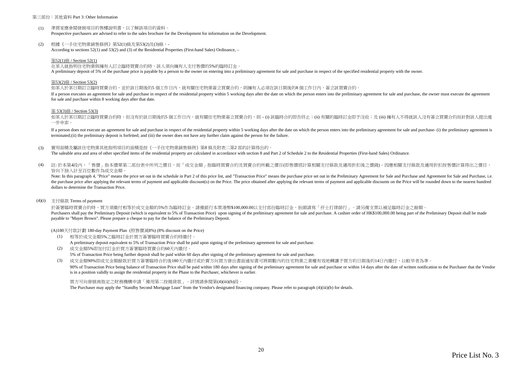#### 第三部份:其他資料 Part 3: Other Information

- $(1)$ 準買家應參閱發展項目的售樓說明書,以了解該項目的資料。Prospective purchasers are advised to refer to the sales brochure for the Development for information on the Development.
- (2)根據《一手住宅物業銷售條例》第52(1)條及第53(2)及(3)條,-According to sections 52(1) and 53(2) and (3) of the Residential Properties (First-hand Sales) Ordinance, –

#### 第52(1)條 / Section 52(1)

在某人就指明住宅物業與擁有人訂立臨時買賣合約時,該人須向擁有人支付售價的5%的臨時訂金。

A preliminary deposit of 5% of the purchase price is payable by a person to the owner on entering into a preliminary agreement for sale and purchase in respect of the specified residential property with the owner.

#### 第53(2)條 / Section 53(2)

如某人於某日期訂立臨時買賣合約,並於該日期後的5 個工作日內,就有關住宅物業簽立買賣合約,則擁有人必須在該日期後的8 個工作日內,簽立該買賣合約。

If a person executes an agreement for sale and purchase in respect of the residential property within 5 working days after the date on which the person enters into the preliminary agreement for sale and purchase, the owner for sale and purchase within 8 working days after that date.

#### 第 53(3)條 / Section 53(3)

如某人於某日期訂立臨時買賣合約時,但沒有於該日期後的5 個工作日内,就有關住宅物業簽立買賣合約,則 – (i) 該臨時合約即告終止;(ii) 有關的臨時訂金即予沒收;及 (iii) 擁有人不得就該人沒有簽立買賣合約而針對該人提出進 一步申索。

If a person does not execute an agreement for sale and purchase in respect of the residential property within 5 working days after the date on which the person enters into the preliminary agreement for sale and purchase- ( terminated;(ii) the preliminary deposit is forfeited; and (iii) the owner does not have any further claim against the person for the failure.

(3)實用面積及屬該住宅物業其他指明項目的面積是按《一手住宅物業銷售條例》第8 條及附表二第2 部的計算得出的。

The saleable area and area of other specified items of the residential property are calculated in accordance with section 8 and Part 2 of Schedule 2 to the Residential Properties (First-hand Sales) Ordinance.

(4) 註: 於本第4段內,「售價」指本價單第二部份表中所列之價目,而「成交金額」指臨時買賣合約及買賣合約所載之價目(即售價經計算相關支付條款及適用折扣後之價錢)。因應相關支付條款及適用折扣按售價計算得出之價目, 皆向下捨入計至百位數作為成交金額。

Note: In this paragraph 4, "Price" means the price set out in the schedule in Part 2 of this price list, and "Transaction Price" means the purchase price set out in the Preliminary Agreement for Sale and Purchase and Agree the purchase price after applying the relevant terms of payment and applicable discount(s) on the Price. The price obtained after applying the relevant terms of payment and applicable discounts on the Price will be rounded dollars to determine the Transaction Price.

#### (4)(i)支付條款 Terms of payment

於簽署臨時買賣合約時,買方須繳付相等於成交金額的5%作為臨時訂金。請備銀行本票港幣\$100,000.00以支付部份臨時訂金,抬頭請寫「孖士打律師行」。請另備支票以補足臨時訂金之餘額。 Purchasers shall pay the Preliminary Deposit (which is equivalent to 5% of Transaction Price) upon signing of the preliminary agreement for sale and purchase. A cashier order of HK\$100,000.00 being part of the Preliminary payable to "Mayer Brown". Please prepare a cheque to pay for the balance of the Preliminary Deposit.

(A)180天付款計劃 180-day Payment Plan (照售價減8%) (8% discount on the Price)

- (1) 相等於成交金額5%之臨時訂金於買方簽署臨時買賣合約時繳付。A preliminary deposit equivalent to 5% of Transaction Price shall be paid upon signing of the preliminary agreement for sale and purchase.
- (2) 成交金額5%即加付訂金於買方簽署臨時買賣合約60天內繳付。5% of Transaction Price being further deposit shall be paid within 60 days after signing of the preliminary agreement for sale and purchase.

(3)成交金額90%即成交金額餘款於買方簽署臨時合約後180天內繳付或於賣方向買方發出書面通知書可將期數內的住宅物業之業權有效地轉讓予買方的日期後的14日內繳付,以較早者為準。

90% of Transaction Price being balance of Transaction Price shall be paid within 180 days after signing of the preliminary agreement for sale and purchase or within 14 days after the date of written notification to the Pur is in a position validly to assign the residential property in the Phase to the Purchaser, whichever is earlier.

買方可向發展商指定之財務機構申請「備用第二按揭貸款」。詳情請參閱第(4)(iii)(b)段。The Purchaser may apply the "Standby Second Mortgage Loan" from the Vendor's designated financing company. Please refer to paragraph (4)(iii)(b) for details.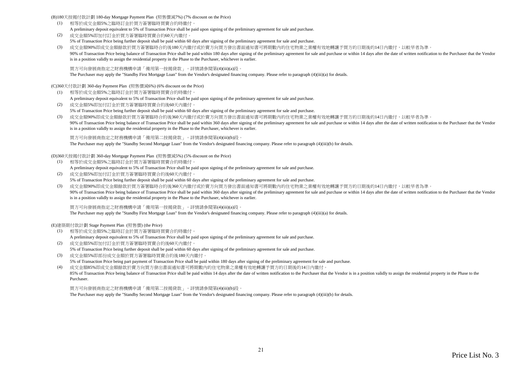(B)180天按揭付款計劃 180-day Mortgage Payment Plan (照售價減7%) (7% discount on the Price)

- (1) 相等於成交金額5%之臨時訂金於買方簽署臨時買賣合約時繳付。A preliminary deposit equivalent to 5% of Transaction Price shall be paid upon signing of the preliminary agreement for sale and purchase.
- (2) 成交金額5%即加付訂金於買方簽署臨時買賣合約60天內繳付。5% of Transaction Price being further deposit shall be paid within 60 days after signing of the preliminary agreement for sale and purchase.
- (3) 成交金額90%即成交金額餘款於買方簽署臨時合約後180天內繳付或於賣方向買方發出書面通知書可將期數內的住宅物業之業權有效地轉讓予買方的日期後的14日內繳付,以較早者為準。90% of Transaction Price being balance of Transaction Price shall be paid within 180 days after signing of the preliminary agreement for sale and purchase or within 14 days after the date of written notification to the Pur is in a position validly to assign the residential property in the Phase to the Purchaser, whichever is earlier.

買方可向發展商指定之財務機構申請「備用第一按揭貸款」。詳情請參閱第(4)(iii)(a)段。

The Purchaser may apply the "Standby First Mortgage Loan" from the Vendor's designated financing company. Please refer to paragraph (4)(iii)(a) for details.

(C)360天付款計劃 360-day Payment Plan (照售價減6%) (6% discount on the Price)

(1) 相等於成交金額5%之臨時訂金於買方簽署臨時買賣合約時繳付。

A preliminary deposit equivalent to 5% of Transaction Price shall be paid upon signing of the preliminary agreement for sale and purchase.

- (2) 成交金額5%即加付訂金於買方簽署臨時買賣合約後60天內繳付。5% of Transaction Price being further deposit shall be paid within 60 days after signing of the preliminary agreement for sale and purchase.
- (3) 成交金額90%即成交金額餘款於買方簽署臨時合約後360天內繳付或於賣方向買方發出書面通知書可將期數內的住宅物業之業權有效地轉讓予買方的日期後的14日內繳付,以較早者為準。90% of Transaction Price being balance of Transaction Price shall be paid within 360 days after signing of the preliminary agreement for sale and purchase or within 14 days after the date of written notification to the Pur is in a position validly to assign the residential property in the Phase to the Purchaser, whichever is earlier.

買方可向發展商指定之財務機構申請「備用第二按揭貸款」。詳情請參閱第(4)(iii)(b)段。

The Purchaser may apply the "Standby Second Mortgage Loan" from the Vendor's designated financing company. Please refer to paragraph (4)(iii)(b) for details.

(D)360天按揭付款計劃 360-day Mortgage Payment Plan (照售價減5%) (5% discount on the Price)

- (1) 相等於成交金額5%之臨時訂金於買方簽署臨時買賣合約時繳付。A preliminary deposit equivalent to 5% of Transaction Price shall be paid upon signing of the preliminary agreement for sale and purchase.
- (2) 成交金額5%即加付訂金於買方簽署臨時買賣合約後60天內繳付。5% of Transaction Price being further deposit shall be paid within 60 days after signing of the preliminary agreement for sale and purchase.
- (3) 成交金額90%即成交金額餘款於買方簽署臨時合約後360天內繳付或於賣方向買方發出書面通知書可將期數內的住宅物業之業權有效地轉讓予買方的日期後的14日內繳付,以較早者為準。90% of Transaction Price being balance of Transaction Price shall be paid within 360 days after signing of the preliminary agreement for sale and purchase or within 14 days after the date of written notification to the Pur is in a position validly to assign the residential property in the Phase to the Purchaser, whichever is earlier.

買方可向發展商指定之財務機構申請「備用第一按揭貸款」。詳情請參閱第(4)(iii)(a)段。

The Purchaser may apply the "Standby First Mortgage Loan" from the Vendor's designated financing company. Please refer to paragraph (4)(iii)(a) for details.

(E)建築期付款計劃 Stage Payment Plan (照售價) (the Price)

- (1) 相等於成交金額5%之臨時訂金於買方簽署臨時買賣合約時繳付。A preliminary deposit equivalent to 5% of Transaction Price shall be paid upon signing of the preliminary agreement for sale and purchase.
- (2) 成交金額5%即加付訂金於買方簽署臨時買賣合約後60天內繳付。5% of Transaction Price being further deposit shall be paid within 60 days after signing of the preliminary agreement for sale and purchase.
- (3) 成交金額5%即部份成交金額於買方簽署臨時買賣合約後180天內繳付。5% of Transaction Price being part payment of Transaction Price shall be paid within 180 days after signing of the preliminary agreement for sale and purchase.

(4) 成交金額85%即成交金額餘款於賣方向買方發出書面通知書可將期數內的住宅物業之業權有效地轉讓予買方的日期後的14日內繳付。85% of Transaction Price being balance of Transaction Price shall be paid within 14 days after the date of written notification to the Purchaser that the Vendor is in a position validly to assign the residential property i Purchaser.

買方可向發展商指定之財務機構申請「備用第二按揭貸款」。詳情請參閱第(4)(iii)(b)段。

The Purchaser may apply the "Standby Second Mortgage Loan" from the Vendor's designated financing company. Please refer to paragraph (4)(iii)(b) for details.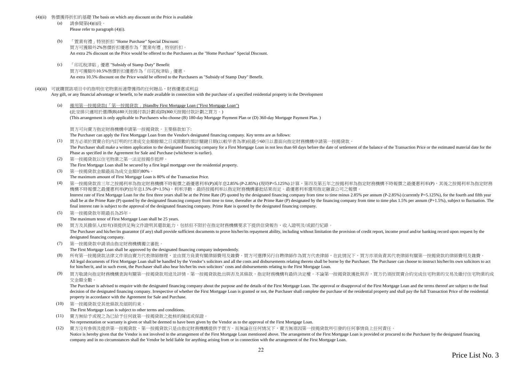#### (4)(ii)售價獲得折扣的基礎 The basis on which any discount on the Price is available

- (a) 請參閱第(4)(i)段。Please refer to paragraph (4)(i).
- (b) 「置業有禮」特別折扣 "Home Purchase" Special Discount: 買方可獲額外2%售價折扣優惠作為「置業有禮」特別折扣。An extra 2% discount on the Price would be offered to the Purchasers as the "Home Purchase" Special Discount.
- $(c)$  「印花稅津貼」優惠 "Subsidy of Stamp Duty" Benefit: 買方可獲額外10.5%售價折扣優惠作為「印花稅津貼」優惠。An extra 10.5% discount on the Price would be offered to the Purchasers as "Subsidy of Stamp Duty" Benefit.

#### (4)(iii) 可就購買該項目中的指明住宅物業而連帶獲得的任何贈品、財務優惠或利益

Any gift, or any financial advantage or benefit, to be made available in connection with the purchase of a specified residential property in the Development

(a) 備用第一按揭貸款(「第一按揭貸款」)Standby First Mortgage Loan ("First Mortgage Loan")(此安排只適用於選擇(B)180天按揭付款計劃或(D)360天按揭付款計劃之買方。)(This arrangement is only applicable to Purchasers who choose (B) 180-day Mortgage Payment Plan or (D) 360-day Mortgage Payment Plan. )

買方可向賣方指定財務機構申請第一按揭貸款。主要條款如下:

The Purchaser can apply the First Mortgage Loan from the Vendor's designated financing company. Key terms are as follows:

(1) 買方必須於買賣合約內訂明的付清成交金額餘額之日或期數的預計關鍵日期(以較早者為準)前最少60日以書面向指定財務機構申請第一按揭貸款。

The Purchaser shall make a written application to the designated financing company for a First Mortgage Loan in not less than 60 days before the date of settlement of the balance of the Transaction Price or the estimated m Phase as specified in the Agreement for Sale and Purchase (whichever is earlier).

- (2) 第一按揭貸款以住宅物業之第一法定按揭作抵押。The First Mortgage Loan shall be secured by a first legal mortgage over the residential property.
- (3) 第一按揭貸款金額最高為成交金額的80%。The maximum amount of First Mortgage Loan is 80% of the Transaction Price.

(4) 第一按揭貸款首三年之按揭利率為指定財務機構不時報價之最優惠利率(P)減年息2.85% (P-2.85%) (現時P=5.125%) 計算,第四及第五年之按揭利率為指定財務機構不時報價之最優惠利率(P),其後之按揭利率為指定財務機構不時報價之最優惠利率(P)加年息1.5% (P+1.5%),利率浮動。最終按揭利率以指定財務機構審批結果而定。最優惠利率選用指定融資公司之報價。 Interest rate of First Mortgage Loan for the first three years shall be at the Prime Rate (P) quoted by the designated financing company from time to time minus 2.85% per annum (P-2.85%) (currently P=5.125%), for the fourt shall be at the Prime Rate (P) quoted by the designated financing company from time to time, thereafter at the Prime Rate (P) designated by the financing company from time to time plus 1.5% per annum (P+1.5%), subject to f

final interest rate is subject to the approval of the designated financing company. Prime Rate is quoted by the designated financing company.

(5) 第一按揭貸款年期最長為25年。

The maximum tenor of First Mortgage Loan shall be 25 years.

(6) 買方及其擔保人(如有)須提供足夠文件證明其還款能力,包括但不限於在指定財務機構要求下提供信貸報告、收入證明及/或銀行紀錄。

The Purchaser and his/her/its guarantor (if any) shall provide sufficient documents to prove his/her/its repayment ability, including without limitation the provision of credit report, income proof and/or banking record up designated financing company.

(7) 第一按揭貸款申請須由指定財務機構獨立審批。

The First Mortgage Loan shall be approved by the designated financing company independently.

- (8)所有第一按揭貸款法律文件須由賣方代表律師辦理,並由買方負責有關律師費用及雜費。買方可選擇另行自聘律師作為買方代表律師,在此情況下,買方亦須負責其代表律師有關第一按揭貸款的律師費用及雜費。 All legal documents of First Mortgage Loan shall be handled by the Vendor's solicitors and all the costs and disbursements relating thereto shall be borne by the Purchaser. The Purchaser can choose to instruct his/her/its for him/her/it, and in such event, the Purchaser shall also bear his/her/its own solicitors' costs and disbursements relating to the First Mortgage Loan.
- (9) 買方敬請向指定財務機構查詢有關第一按揭貸款用途及詳情。第一按揭貸款批出與否及其條款,指定財務機構有最終決定權。不論第一按揭貸款獲批與否,買方仍須按買賣合約完成住宅物業的交易及繳付住宅物業的成交金額全數。

The Purchaser is advised to enquire with the designated financing company about the purpose and the details of the First Mortgage Loan. The approval or disapproval of the First Mortgage Loan and the terms thereof are subje decision of the designated financing company. Irrespective of whether the First Mortgage Loan is granted or not, the Purchaser shall complete the purchase of the residential property and shall pay the full Transaction Pric property in accordance with the Agreement for Sale and Purchase.

(10) 第一按揭貸款受其他條款及細則約束。

The First Mortgage Loan is subject to other terms and conditions.

- (11) 賣方無給予或視之為已給予任何就第一按揭貸款之批核的陳述或保證。No representation or warranty is given or shall be deemed to have been given by the Vendor as to the approval of the First Mortgage Loan.
- (12) 賣方沒有參與及提供第一按揭貸款。第一按揭貸款只是由指定財務機構提供予買方。而無論在任何情況下,賣方無須因第一按揭貸款所引發的任何事情負上任何責任。Notice is hereby given that the Vendor is not involved in the arrangement of the First Mortgage Loan mentioned above. The arrangement of the First Mortgage Loan is provided or procured to the Purchaser by the designated fi company and in no circumstances shall the Vendor be held liable for anything arising from or in connection with the arrangement of the First Mortgage Loan.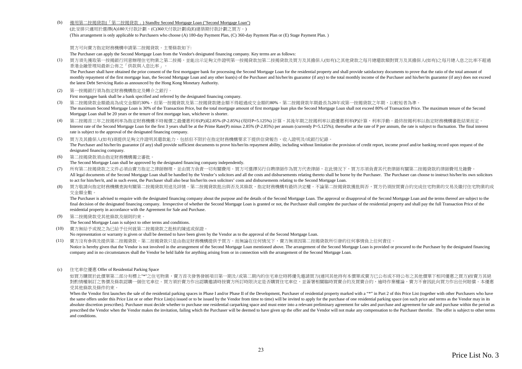$(h)$ 備用第二按揭貸款(「第二按揭貸款」) Standby Second Mortgage Loan ("Second Mortgage Loan")

(此安排只適用於選擇(A)180天付款計劃、(C)360天付款計劃或(E)建築期付款計劃之買方。)(This arrangement is only applicable to Purchasers who choose (A) 180-day Payment Plan, (C) 360-day Payment Plan or (E) Stage Payment Plan. )

買方可向賣方指定財務機構申請第二按揭貸款。主要條款如下:

The Purchaser can apply the Second Mortgage Loan from the Vendor's designated financing company. Key terms are as follows:

 買方須先獲取第一按揭銀行同意辦理住宅物業之第二按揭,並能出示足夠文件證明第一按揭貸款加第二按揭貸款及買方及其擔保人(如有)之其他貸款之每月總還款額對買方及其擔保人(如有)之每月總入息之比率不超過 $(1)$ 香港金融管理局最新公佈之「供款與入息比率」。

The Purchaser shall have obtained the prior consent of the first mortgagee bank for processing the Second Mortgage Loan for the residential property and shall provide satisfactory documents to prove that the ratio of the t monthly repayment of the first mortgage loan, the Second Mortgage Loan and any other loan(s) of the Purchaser and his/her/its guarantor (if any) to the total monthly income of the Purchaser and his/her/its guarantor (if an the latest Debt Servicing Ratio as announced by the Hong Kong Monetary Authority.

(2) 第一按揭銀行須為指定財務機構指定及轉介之銀行。

First mortgagee bank shall be a bank specified and referred by the designated financing company.

- (3) 第二按揭貸款金額最高為成交金額的30%,但第一按揭貸款及第二按揭貸款總金額不得超過成交金額的80%。第二按揭貸款年期最長為20年或第一按揭貸款之年期,以較短者為準。 The maximum Second Mortgage Loan is 30% of the Transaction Price, but the total mortgage amount of first mortgage loan plus the Second Mortgage Loan shall not exceed 80% of Transaction Price. The maximum tenure of the Seco Mortgage Loan shall be 20 years or the tenure of first mortgage loan, whichever is shorter.
- (4) 第二按揭言三年之按揭利率為指定財務機構不時報價之最優惠利率(P)減2.85% (P-2.85%) (現時P=5.125%) 計算,其後年期之按揭利率以最優惠利率(P)計算,利率浮動。最終按揭利率以指定財務機構審批結果而定。 Interest rate of the Second Mortgage Loan for the first 3 years shall be at the Prime Rate(P) minus 2.85% (P-2.85%) per annum (currently P=5.125%); thereafter at the rate of P per annum, the rate is subject to fluctuation. rate is subject to the approval of the designated financing company.
- (5) 買方及其擔保人(如有)須提供足夠文件證明其還款能力,包括但不限於在指定財務機構要求下提供信貸報告、收入證明及/或銀行紀錄。The Purchaser and his/her/its guarantor (if any) shall provide sufficient documents to prove his/her/its repayment ability, including without limitation the provision of credit report, income proof and/or banking record up designated financing company.
- (6) 第二按揭貸款須由指定財務機構獨立審批。

The Second Mortgage Loan shall be approved by the designated financing company independently.

- (7) 所有第二按揭貸款之文件必須由賣方指定之律師辦理,並由買方負責一切有關費用。買方可選擇另行自聘律師作為買方代表律師,在此情況下,買方亦須負責其代表律師有關第二按揭貸款的律師費用及雜費。 All legal documents of the Second Mortgage Loan shall be handled by the Vendor's solicitors and all the costs and disbursements relating thereto shall be borne by the Purchaser. The Purchaser can choose to instruct his/her to act for him/her/it, and in such event, the Purchaser shall also bear his/her/its own solicitors' costs and disbursements relating to the Second Mortgage Loan.
- (8) 買方敬請向指定財務機構查詢有關第二按揭貸款用途及詳情。第二按揭貸款批出與否及其條款,指定財務機構有最終決定權。不論第二按揭貸款獲批與否,買方仍須按買賣合約完成住宅物業的交易及繳付住宅物業的成交金額全數。

The Purchaser is advised to enquire with the designated financing company about the purpose and the details of the Second Mortgage Loan. The approval or disapproval of the Second Mortgage Loan and the terms thereof are sub final decision of the designated financing company. Irrespective of whether the Second Mortgage Loan is granted or not, the Purchaser shall complete the purchase of the residential property and shall pay the full Transacti residential property in accordance with the Agreement for Sale and Purchase.

(9) 第二按揭貸款受其他條款及細則約束。

The Second Mortgage Loan is subject to other terms and conditions.

(10) 賣方無給予或視之為已給予任何就第二按揭貸款之批核的陳述或保證。

No representation or warranty is given or shall be deemed to have been given by the Vendor as to the approval of the Second Mortgage Loan.

- (11) 賣方沒有參與及提供第二按揭貸款。第二按揭貸款只是由指定財務機構提供予買方。而無論在任何情況下,賣方無須因第二按揭貸款所引發的任何事情負上任何責任。
- Notice is hereby given that the Vendor is not involved in the arrangement of the Second Mortgage Loan mentioned above. The arrangement of the Second Mortgage Loan is provided or procured to the Purchaser by the designated company and in no circumstances shall the Vendor be held liable for anything arising from or in connection with the arrangement of the Second Mortgage Loan.
- (c) 住宅車位優惠 Offer of Residential Parking Space

如買方購買於此價單第二部分有標上"\*"之住宅物業,賣方首次發售發展項目第一期及/或第二期內的住宅車位時將優先邀請買方(連同其他持有本價單或賣方已公布或不時公布之其他價單下相同優惠之買方)按賣方其絕 對酌情權制訂之售價及條款認購一個住宅車位。買方須於賣方作出認購邀請時按賣方所訂時限決定是否購買住宅車位,並簽署相關臨時買賣合約及買賣合約,逾時作棄權論,賣方不會因此向買方作出任何賠償。本優惠 受其他條款及條件約束。

When the Vendor first launches the sale of the residential parking spaces in Phase I and/or Phase II of the Development, Purchaser of residential property marked with a "\*" in Part 2 of this Price List (together with other the same offers under this Price List or or other Price List(s) issued or to be issued by the Vendor from time to time) will be invited to apply for the purchase of one residential parking space (on such price and terms as absolute discretion prescribes). Purchaser must decide whether to purchase one residential carparking space and must enter into a relevant preliminary agreement for sales and purchase and agreement for sale and purchase wi prescribed the Vendor when the Vendor makes the invitation, failing which the Purchaser will be deemed to have given up the offer and the Vendor will not make any compensation to the Purchaser therefor. The offer is subjec and conditions.